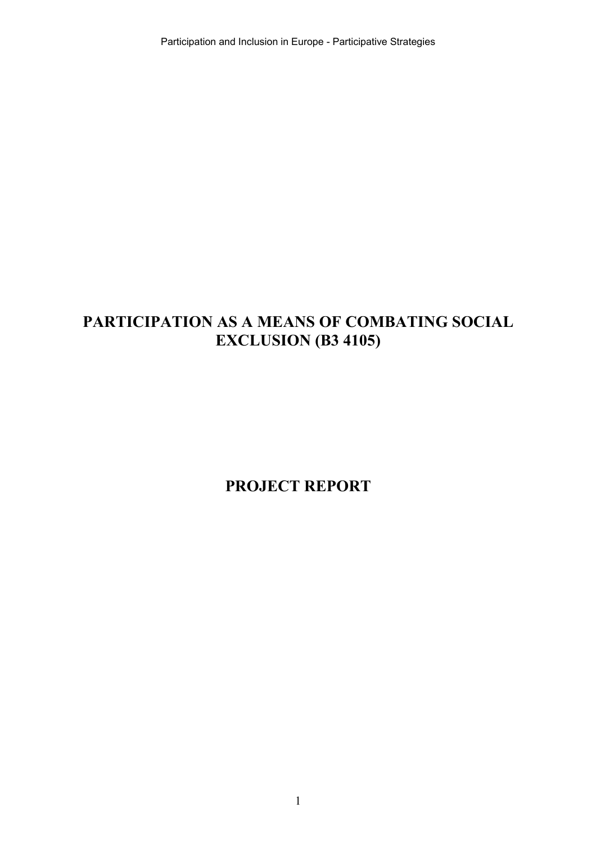Participation and Inclusion in Europe - Participative Strategies

# **PARTICIPATION AS A MEANS OF COMBATING SOCIAL EXCLUSION (B3 4105)**

**PROJECT REPORT**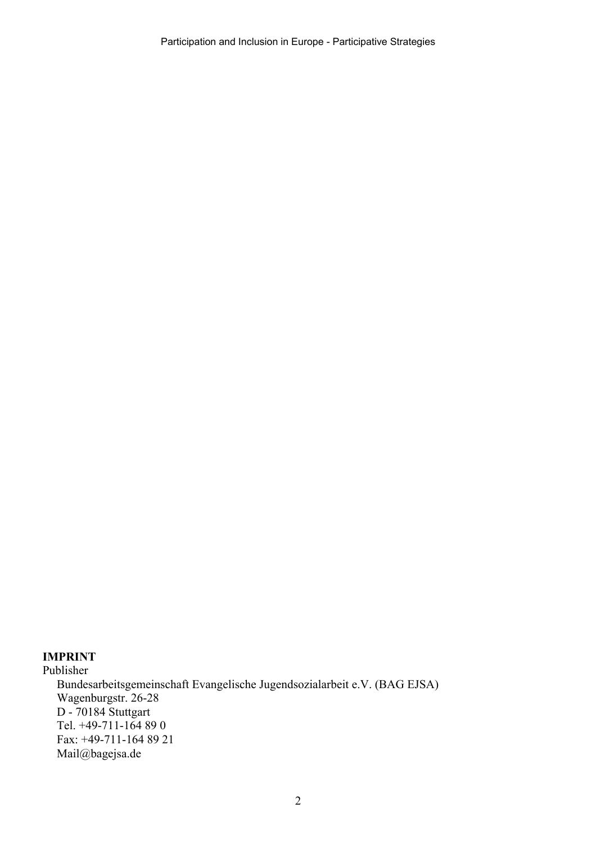Participation and Inclusion in Europe - Participative Strategies

### **IMPRINT**

Publisher Bundesarbeitsgemeinschaft Evangelische Jugendsozialarbeit e.V. (BAG EJSA) Wagenburgstr. 26-28 D - 70184 Stuttgart Tel. +49-711-164 89 0 Fax: +49-711-164 89 21 Mail@bagejsa.de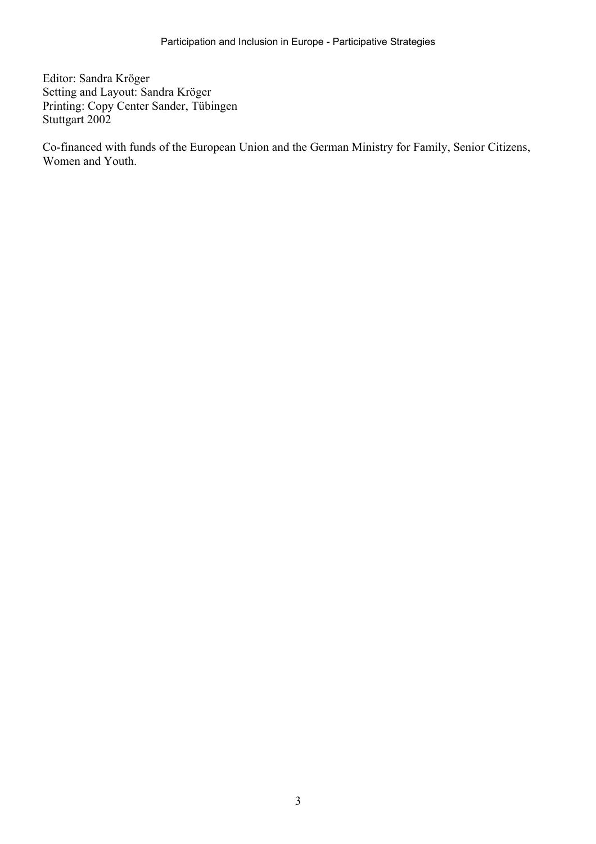Editor: Sandra Kröger Setting and Layout: Sandra Kröger Printing: Copy Center Sander, Tübingen Stuttgart 2002

Co-financed with funds of the European Union and the German Ministry for Family, Senior Citizens, Women and Youth.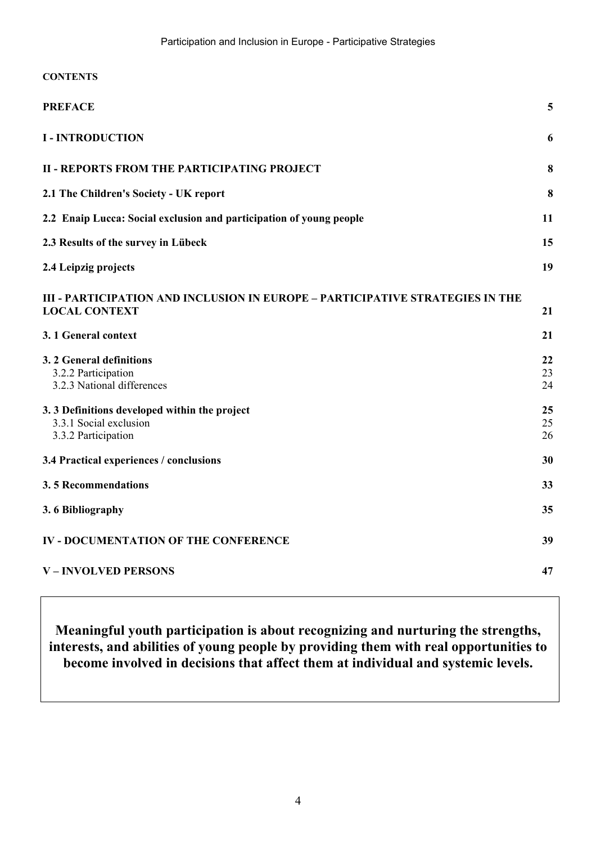| <b>CONTENTS</b>                                                                                       |                |
|-------------------------------------------------------------------------------------------------------|----------------|
| <b>PREFACE</b>                                                                                        | 5              |
| <b>I - INTRODUCTION</b>                                                                               | 6              |
| <b>II - REPORTS FROM THE PARTICIPATING PROJECT</b>                                                    | 8              |
| 2.1 The Children's Society - UK report                                                                | 8              |
| 2.2 Enaip Lucca: Social exclusion and participation of young people                                   | 11             |
| 2.3 Results of the survey in Lübeck                                                                   | 15             |
| 2.4 Leipzig projects                                                                                  | 19             |
| III - PARTICIPATION AND INCLUSION IN EUROPE – PARTICIPATIVE STRATEGIES IN THE<br><b>LOCAL CONTEXT</b> | 21             |
| 3.1 General context                                                                                   | 21             |
| 3. 2 General definitions<br>3.2.2 Participation<br>3.2.3 National differences                         | 22<br>23<br>24 |
| 3.3 Definitions developed within the project<br>3.3.1 Social exclusion<br>3.3.2 Participation         | 25<br>25<br>26 |
| 3.4 Practical experiences / conclusions                                                               | 30             |
| 3.5 Recommendations                                                                                   | 33             |
| 3.6 Bibliography                                                                                      | 35             |
| <b>IV - DOCUMENTATION OF THE CONFERENCE</b>                                                           | 39             |
| <b>V-INVOLVED PERSONS</b>                                                                             | 47             |

**Meaningful youth participation is about recognizing and nurturing the strengths, interests, and abilities of young people by providing them with real opportunities to become involved in decisions that affect them at individual and systemic levels.**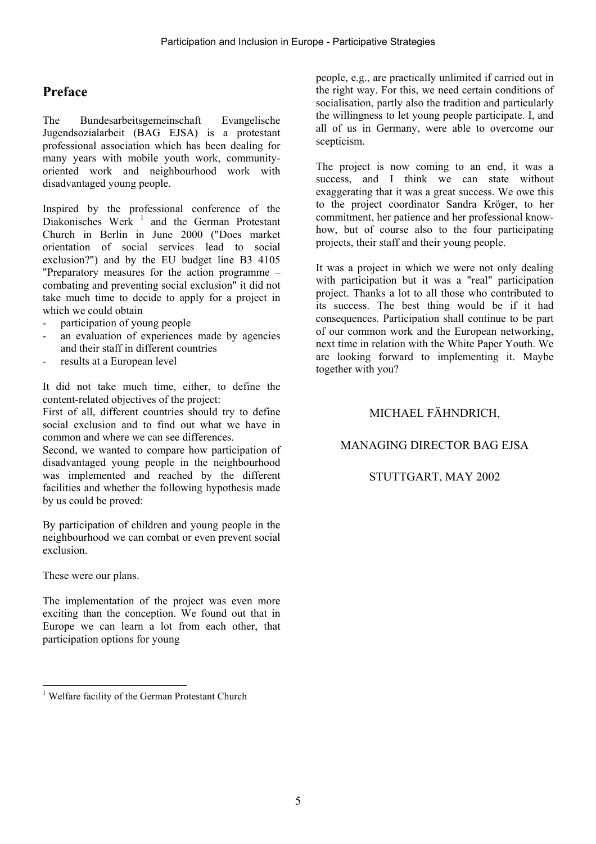# **Preface**

The Bundesarbeitsgemeinschaft Evangelische Jugendsozialarbeit (BAG EJSA) is a protestant professional association which has been dealing for many years with mobile youth work, communityoriented work and neighbourhood work with disadvantaged young people.

Inspired by the professional conference of the Diakonisches Werk<sup>1</sup> and the German Protestant Church in Berlin in June 2000 ("Does market orientation of social services lead to social exclusion?") and by the EU budget line B3 4105 "Preparatory measures for the action programme – combating and preventing social exclusion" it did not take much time to decide to apply for a project in which we could obtain

- participation of young people
- an evaluation of experiences made by agencies and their staff in different countries
- results at a European level

It did not take much time, either, to define the content-related objectives of the project:

First of all, different countries should try to define social exclusion and to find out what we have in common and where we can see differences.

Second, we wanted to compare how participation of disadvantaged young people in the neighbourhood was implemented and reached by the different facilities and whether the following hypothesis made by us could be proved:

By participation of children and young people in the neighbourhood we can combat or even prevent social exclusion.

These were our plans.

The implementation of the project was even more exciting than the conception. We found out that in Europe we can learn a lot from each other, that participation options for young

people, e.g., are practically unlimited if carried out in the right way. For this, we need certain conditions of socialisation, partly also the tradition and particularly the willingness to let young people participate. I, and all of us in Germany, were able to overcome our scepticism.

The project is now coming to an end, it was a success, and I think we can state without exaggerating that it was a great success. We owe this to the project coordinator Sandra Kröger, to her commitment, her patience and her professional knowhow, but of course also to the four participating projects, their staff and their young people.

It was a project in which we were not only dealing with participation but it was a "real" participation project. Thanks a lot to all those who contributed to its success. The best thing would be if it had consequences. Participation shall continue to be part of our common work and the European networking, next time in relation with the White Paper Youth. We are looking forward to implementing it. Maybe together with you?

### MICHAEL FÄHNDRICH,

### MANAGING DIRECTOR BAG EJSA

### STUTTGART, MAY 2002

l <sup>1</sup> Welfare facility of the German Protestant Church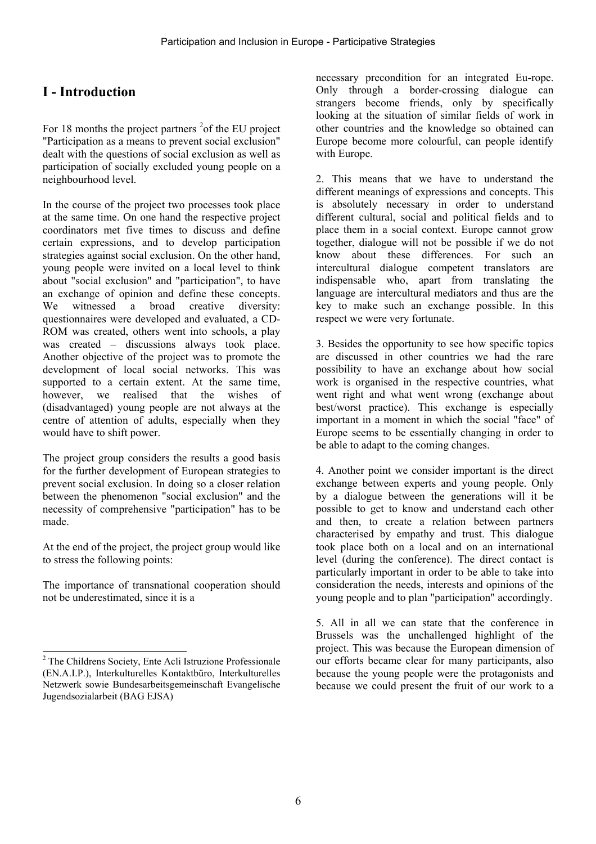# **I - Introduction**

For 18 months the project partners  $2$  of the EU project "Participation as a means to prevent social exclusion" dealt with the questions of social exclusion as well as participation of socially excluded young people on a neighbourhood level.

In the course of the project two processes took place at the same time. On one hand the respective project coordinators met five times to discuss and define certain expressions, and to develop participation strategies against social exclusion. On the other hand, young people were invited on a local level to think about "social exclusion" and "participation", to have an exchange of opinion and define these concepts. We witnessed a broad creative diversity: questionnaires were developed and evaluated, a CD-ROM was created, others went into schools, a play was created – discussions always took place. Another objective of the project was to promote the development of local social networks. This was supported to a certain extent. At the same time, however, we realised that the wishes of (disadvantaged) young people are not always at the centre of attention of adults, especially when they would have to shift power.

The project group considers the results a good basis for the further development of European strategies to prevent social exclusion. In doing so a closer relation between the phenomenon "social exclusion" and the necessity of comprehensive "participation" has to be made.

At the end of the project, the project group would like to stress the following points:

The importance of transnational cooperation should not be underestimated, since it is a

l

necessary precondition for an integrated Eu-rope. Only through a border-crossing dialogue can strangers become friends, only by specifically looking at the situation of similar fields of work in other countries and the knowledge so obtained can Europe become more colourful, can people identify with Europe.

2. This means that we have to understand the different meanings of expressions and concepts. This is absolutely necessary in order to understand different cultural, social and political fields and to place them in a social context. Europe cannot grow together, dialogue will not be possible if we do not know about these differences. For such an intercultural dialogue competent translators are indispensable who, apart from translating the language are intercultural mediators and thus are the key to make such an exchange possible. In this respect we were very fortunate.

3. Besides the opportunity to see how specific topics are discussed in other countries we had the rare possibility to have an exchange about how social work is organised in the respective countries, what went right and what went wrong (exchange about best/worst practice). This exchange is especially important in a moment in which the social "face" of Europe seems to be essentially changing in order to be able to adapt to the coming changes.

4. Another point we consider important is the direct exchange between experts and young people. Only by a dialogue between the generations will it be possible to get to know and understand each other and then, to create a relation between partners characterised by empathy and trust. This dialogue took place both on a local and on an international level (during the conference). The direct contact is particularly important in order to be able to take into consideration the needs, interests and opinions of the young people and to plan "participation" accordingly.

5. All in all we can state that the conference in Brussels was the unchallenged highlight of the project. This was because the European dimension of our efforts became clear for many participants, also because the young people were the protagonists and because we could present the fruit of our work to a

<sup>&</sup>lt;sup>2</sup> The Childrens Society, Ente Acli Istruzione Professionale (EN.A.I.P.), Interkulturelles Kontaktbüro, Interkulturelles Netzwerk sowie Bundesarbeitsgemeinschaft Evangelische Jugendsozialarbeit (BAG EJSA)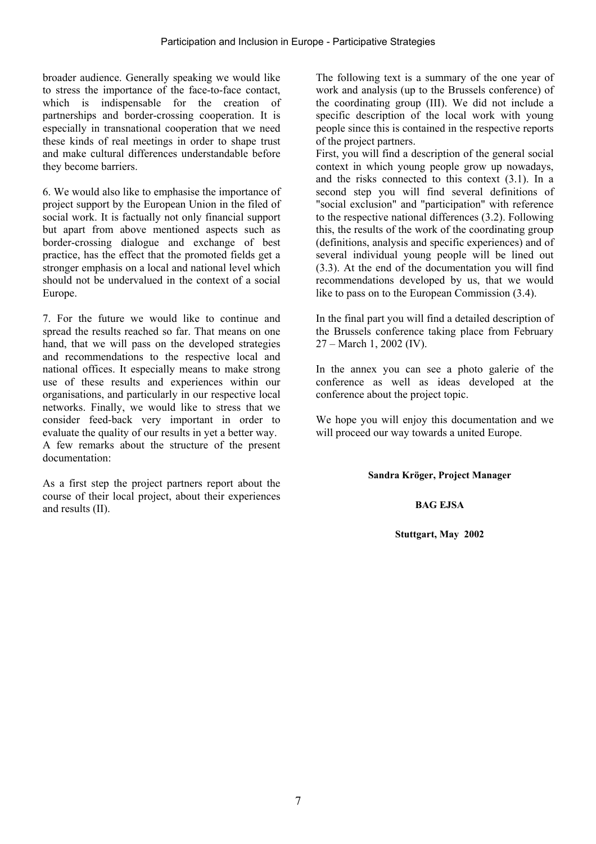broader audience. Generally speaking we would like to stress the importance of the face-to-face contact, which is indispensable for the creation of partnerships and border-crossing cooperation. It is especially in transnational cooperation that we need these kinds of real meetings in order to shape trust and make cultural differences understandable before they become barriers.

6. We would also like to emphasise the importance of project support by the European Union in the filed of social work. It is factually not only financial support but apart from above mentioned aspects such as border-crossing dialogue and exchange of best practice, has the effect that the promoted fields get a stronger emphasis on a local and national level which should not be undervalued in the context of a social Europe.

7. For the future we would like to continue and spread the results reached so far. That means on one hand, that we will pass on the developed strategies and recommendations to the respective local and national offices. It especially means to make strong use of these results and experiences within our organisations, and particularly in our respective local networks. Finally, we would like to stress that we consider feed-back very important in order to evaluate the quality of our results in yet a better way. A few remarks about the structure of the present documentation:

As a first step the project partners report about the course of their local project, about their experiences and results (II).

The following text is a summary of the one year of work and analysis (up to the Brussels conference) of the coordinating group (III). We did not include a specific description of the local work with young people since this is contained in the respective reports of the project partners.

First, you will find a description of the general social context in which young people grow up nowadays, and the risks connected to this context (3.1). In a second step you will find several definitions of "social exclusion" and "participation" with reference to the respective national differences (3.2). Following this, the results of the work of the coordinating group (definitions, analysis and specific experiences) and of several individual young people will be lined out (3.3). At the end of the documentation you will find recommendations developed by us, that we would like to pass on to the European Commission (3.4).

In the final part you will find a detailed description of the Brussels conference taking place from February 27 – March 1, 2002 (IV).

In the annex you can see a photo galerie of the conference as well as ideas developed at the conference about the project topic.

We hope you will enjoy this documentation and we will proceed our way towards a united Europe.

**Sandra Kröger, Project Manager** 

#### **BAG EJSA**

**Stuttgart, May 2002**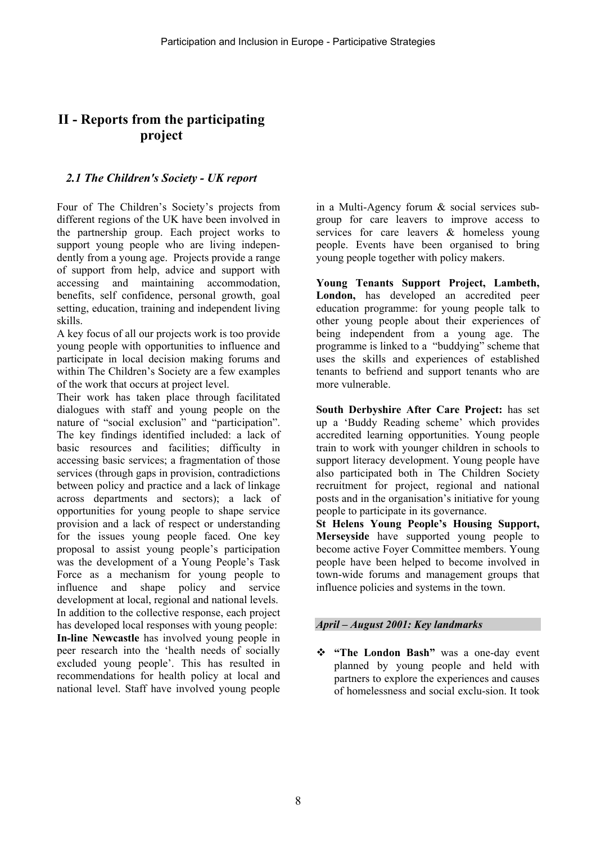## **II - Reports from the participating project**

### *2.1 The Children's Society - UK report*

Four of The Children's Society's projects from different regions of the UK have been involved in the partnership group. Each project works to support young people who are living independently from a young age. Projects provide a range of support from help, advice and support with accessing and maintaining accommodation, benefits, self confidence, personal growth, goal setting, education, training and independent living skills.

A key focus of all our projects work is too provide young people with opportunities to influence and participate in local decision making forums and within The Children's Society are a few examples of the work that occurs at project level.

Their work has taken place through facilitated dialogues with staff and young people on the nature of "social exclusion" and "participation". The key findings identified included: a lack of basic resources and facilities; difficulty in accessing basic services; a fragmentation of those services (through gaps in provision, contradictions between policy and practice and a lack of linkage across departments and sectors); a lack of opportunities for young people to shape service provision and a lack of respect or understanding for the issues young people faced. One key proposal to assist young people's participation was the development of a Young People's Task Force as a mechanism for young people to influence and shape policy and service development at local, regional and national levels. In addition to the collective response, each project has developed local responses with young people: **In-line Newcastle** has involved young people in peer research into the 'health needs of socially excluded young people'. This has resulted in recommendations for health policy at local and national level. Staff have involved young people

in a Multi-Agency forum & social services subgroup for care leavers to improve access to services for care leavers & homeless young people. Events have been organised to bring young people together with policy makers.

**Young Tenants Support Project, Lambeth, London,** has developed an accredited peer education programme: for young people talk to other young people about their experiences of being independent from a young age. The programme is linked to a "buddying" scheme that uses the skills and experiences of established tenants to befriend and support tenants who are more vulnerable.

**South Derbyshire After Care Project:** has set up a 'Buddy Reading scheme' which provides accredited learning opportunities. Young people train to work with younger children in schools to support literacy development. Young people have also participated both in The Children Society recruitment for project, regional and national posts and in the organisation's initiative for young people to participate in its governance.

**St Helens Young People's Housing Support, Merseyside** have supported young people to become active Foyer Committee members. Young people have been helped to become involved in town-wide forums and management groups that influence policies and systems in the town.

### *April – August 2001: Key landmarks*

 **"The London Bash"** was a one-day event planned by young people and held with partners to explore the experiences and causes of homelessness and social exclu-sion. It took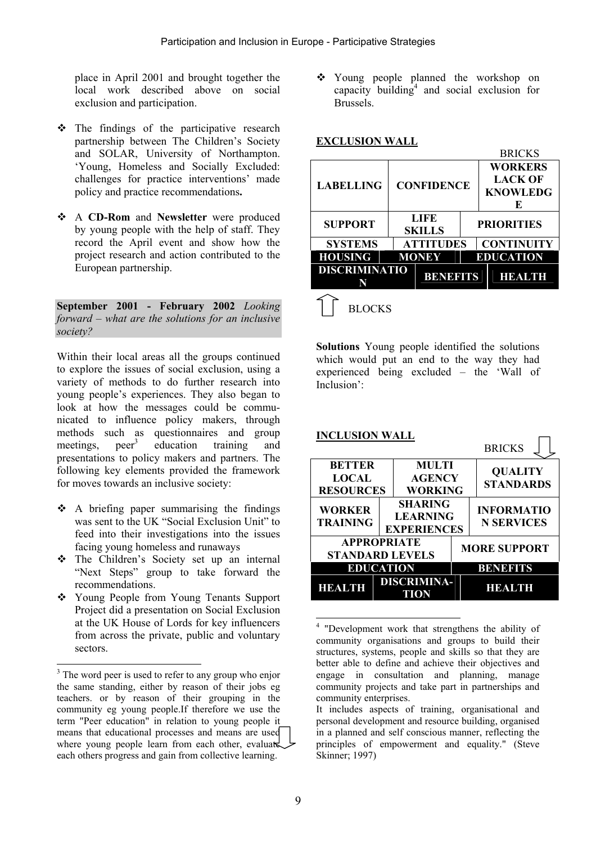place in April 2001 and brought together the local work described above on social exclusion and participation.

- $\div$  The findings of the participative research partnership between The Children's Society and SOLAR, University of Northampton. 'Young, Homeless and Socially Excluded: challenges for practice interventions' made policy and practice recommendations**.**
- A **CD-Rom** and **Newsletter** were produced by young people with the help of staff. They record the April event and show how the project research and action contributed to the European partnership.

**September 2001 - February 2002** *Looking forward – what are the solutions for an inclusive society?*

Within their local areas all the groups continued to explore the issues of social exclusion, using a variety of methods to do further research into young people's experiences. They also began to look at how the messages could be communicated to influence policy makers, through methods such as questionnaires and group<br>meetings, neer<sup>3</sup> education training and meetings. education training and presentations to policy makers and partners. The following key elements provided the framework for moves towards an inclusive society:

- $\triangle$  A briefing paper summarising the findings was sent to the UK "Social Exclusion Unit" to feed into their investigations into the issues facing young homeless and runaways
- \* The Children's Society set up an internal "Next Steps" group to take forward the recommendations.
- Young People from Young Tenants Support Project did a presentation on Social Exclusion at the UK House of Lords for key influencers from across the private, public and voluntary sectors.

 $\overline{\phantom{a}}$ 

 Young people planned the workshop on capacity building<sup>4</sup> and social exclusion for Brussels.

### **EXCLUSION WALL**

|                      |                   |                |  | <b>BRICKS</b>     |  |  |
|----------------------|-------------------|----------------|--|-------------------|--|--|
| <b>LABELLING</b>     |                   |                |  | <b>WORKERS</b>    |  |  |
|                      | <b>CONFIDENCE</b> |                |  | <b>LACK OF</b>    |  |  |
|                      |                   |                |  | <b>KNOWLEDG</b>   |  |  |
|                      |                   |                |  | E                 |  |  |
| <b>SUPPORT</b>       | LIFE<br>SKILLS    |                |  | <b>PRIORITIES</b> |  |  |
| <b>SYSTEMS</b>       | <b>ATTITUDES</b>  |                |  | <b>CONTINUITY</b> |  |  |
| <b>HOUSING</b>       | <b>MONEY</b>      |                |  | <b>EDUCATION</b>  |  |  |
| <b>DISCRIMINATIO</b> |                   | <b>BENETTS</b> |  | <b>HEALTH</b>     |  |  |
| <b>BLOCKS</b>        |                   |                |  |                   |  |  |

**Solutions** Young people identified the solutions which would put an end to the way they had experienced being excluded – the 'Wall of Inclusion':

| <b>INCLUSION WALL</b>                             |  |                                                         |                     | <b>BRICKS</b>                          |  |
|---------------------------------------------------|--|---------------------------------------------------------|---------------------|----------------------------------------|--|
| <b>BETTER</b><br><b>LOCAL</b><br><b>RESOURCES</b> |  | <b>MULTI</b><br><b>AGENCY</b><br>WORKING                |                     | <b>QUALITY</b><br><b>STANDARDS</b>     |  |
| <b>WORKER</b><br><b>TRAINING</b>                  |  | <b>SHARING</b><br><b>LEARNING</b><br><b>EXPERIENCES</b> |                     | <b>INFORMATIO</b><br><b>N SERVICES</b> |  |
| <b>APPROPRIATE</b><br><b>STANDARD LEVELS</b>      |  |                                                         | <b>MORE SUPPORT</b> |                                        |  |
| EDUCATION                                         |  |                                                         | BENETTS             |                                        |  |
| HF.A                                              |  | <b>DISCRIMINA-</b><br>TION                              |                     | HEALTH                                 |  |

l 4 "Development work that strengthens the ability of community organisations and groups to build their structures, systems, people and skills so that they are better able to define and achieve their objectives and engage in consultation and planning, manage community projects and take part in partnerships and community enterprises.

<sup>&</sup>lt;sup>3</sup> The word peer is used to refer to any group who enjor the same standing, either by reason of their jobs eg teachers. or by reason of their grouping in the community eg young people.If therefore we use the term "Peer education" in relation to young people it means that educational processes and means are used where young people learn from each other, evaluated each others progress and gain from collective learning.

It includes aspects of training, organisational and personal development and resource building, organised in a planned and self conscious manner, reflecting the principles of empowerment and equality." (Steve Skinner; 1997)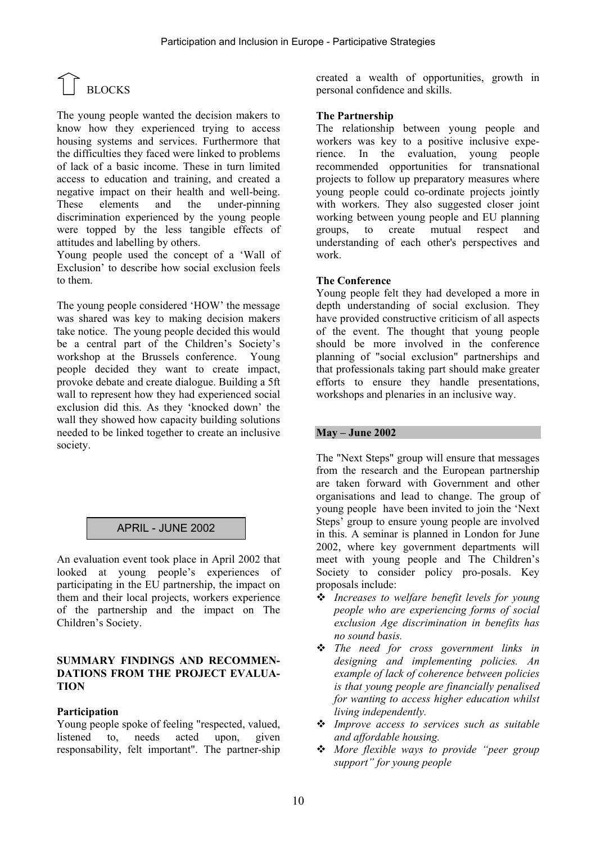# $\bigcap_{\text{BLOCKS}}$

The young people wanted the decision makers to know how they experienced trying to access housing systems and services. Furthermore that the difficulties they faced were linked to problems of lack of a basic income. These in turn limited access to education and training, and created a negative impact on their health and well-being. These elements and the under-pinning discrimination experienced by the young people were topped by the less tangible effects of attitudes and labelling by others.

Young people used the concept of a 'Wall of Exclusion' to describe how social exclusion feels to them.

The young people considered 'HOW' the message was shared was key to making decision makers take notice. The young people decided this would be a central part of the Children's Society's workshop at the Brussels conference. Young people decided they want to create impact, provoke debate and create dialogue. Building a 5ft wall to represent how they had experienced social exclusion did this. As they 'knocked down' the wall they showed how capacity building solutions needed to be linked together to create an inclusive society.

### APRIL - JUNE 2002

An evaluation event took place in April 2002 that looked at young people's experiences of participating in the EU partnership, the impact on them and their local projects, workers experience of the partnership and the impact on The Children's Society.

#### **SUMMARY FINDINGS AND RECOMMEN-DATIONS FROM THE PROJECT EVALUA-TION**

### **Participation**

Young people spoke of feeling "respected, valued, listened to, needs acted upon, given responsability, felt important". The partner-ship created a wealth of opportunities, growth in personal confidence and skills.

### **The Partnership**

The relationship between young people and workers was key to a positive inclusive experience. In the evaluation, young people recommended opportunities for transnational projects to follow up preparatory measures where young people could co-ordinate projects jointly with workers. They also suggested closer joint working between young people and EU planning groups, to create mutual respect and understanding of each other's perspectives and work.

#### **The Conference**

Young people felt they had developed a more in depth understanding of social exclusion. They have provided constructive criticism of all aspects of the event. The thought that young people should be more involved in the conference planning of "social exclusion" partnerships and that professionals taking part should make greater efforts to ensure they handle presentations, workshops and plenaries in an inclusive way.

### **May – June 2002**

The "Next Steps" group will ensure that messages from the research and the European partnership are taken forward with Government and other organisations and lead to change. The group of young people have been invited to join the 'Next Steps' group to ensure young people are involved in this. A seminar is planned in London for June 2002, where key government departments will meet with young people and The Children's Society to consider policy pro-posals. Key proposals include:

- *Increases to welfare benefit levels for young people who are experiencing forms of social exclusion Age discrimination in benefits has no sound basis.*
- *The need for cross government links in designing and implementing policies. An example of lack of coherence between policies is that young people are financially penalised for wanting to access higher education whilst living independently.*
- *Improve access to services such as suitable and affordable housing.*
- *More flexible ways to provide "peer group support" for young people*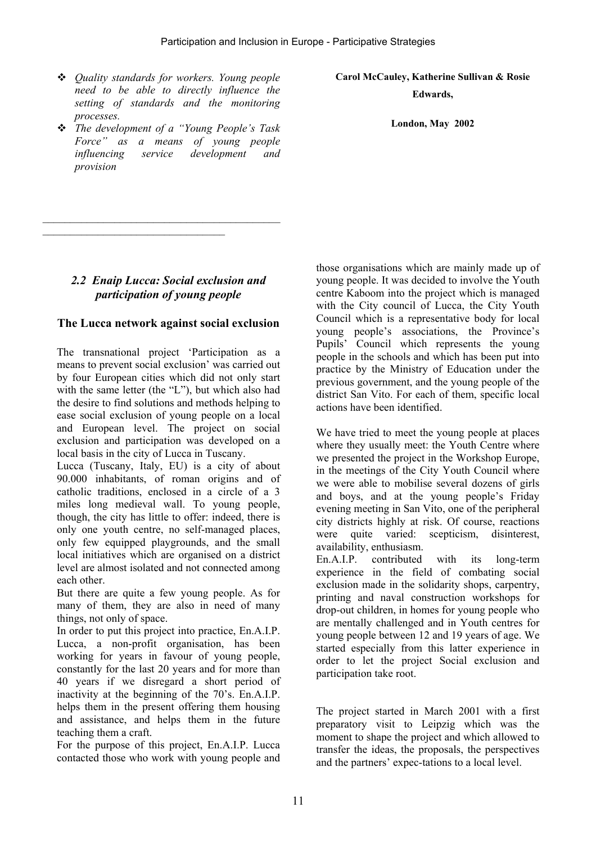- *Quality standards for workers. Young people need to be able to directly influence the setting of standards and the monitoring processes.*
- *The development of a "Young People's Task Force" as a means of young people influencing service development and provision*

**Carol McCauley, Katherine Sullivan & Rosie Edwards,** 

**London, May 2002** 

### *2.2 Enaip Lucca: Social exclusion and participation of young people*

\_\_\_\_\_\_\_\_\_\_\_\_\_\_\_\_\_\_\_\_\_\_\_\_\_\_\_\_\_\_\_\_\_\_\_\_\_\_\_\_\_\_\_

 $\mathcal{L}_\text{max}$ 

### **The Lucca network against social exclusion**

The transnational project 'Participation as a means to prevent social exclusion' was carried out by four European cities which did not only start with the same letter (the "L"), but which also had the desire to find solutions and methods helping to ease social exclusion of young people on a local and European level. The project on social exclusion and participation was developed on a local basis in the city of Lucca in Tuscany.

Lucca (Tuscany, Italy, EU) is a city of about 90.000 inhabitants, of roman origins and of catholic traditions, enclosed in a circle of a 3 miles long medieval wall. To young people, though, the city has little to offer: indeed, there is only one youth centre, no self-managed places, only few equipped playgrounds, and the small local initiatives which are organised on a district level are almost isolated and not connected among each other.

But there are quite a few young people. As for many of them, they are also in need of many things, not only of space.

In order to put this project into practice, En.A.I.P. Lucca, a non-profit organisation, has been working for years in favour of young people, constantly for the last 20 years and for more than 40 years if we disregard a short period of inactivity at the beginning of the 70's. En.A.I.P. helps them in the present offering them housing and assistance, and helps them in the future teaching them a craft.

For the purpose of this project, En.A.I.P. Lucca contacted those who work with young people and those organisations which are mainly made up of young people. It was decided to involve the Youth centre Kaboom into the project which is managed with the City council of Lucca, the City Youth Council which is a representative body for local young people's associations, the Province's Pupils' Council which represents the young people in the schools and which has been put into practice by the Ministry of Education under the previous government, and the young people of the district San Vito. For each of them, specific local actions have been identified.

We have tried to meet the young people at places where they usually meet: the Youth Centre where we presented the project in the Workshop Europe, in the meetings of the City Youth Council where we were able to mobilise several dozens of girls and boys, and at the young people's Friday evening meeting in San Vito, one of the peripheral city districts highly at risk. Of course, reactions were quite varied: scepticism, disinterest, availability, enthusiasm.

En.A.I.P. contributed with its long-term experience in the field of combating social exclusion made in the solidarity shops, carpentry, printing and naval construction workshops for drop-out children, in homes for young people who are mentally challenged and in Youth centres for young people between 12 and 19 years of age. We started especially from this latter experience in order to let the project Social exclusion and participation take root.

The project started in March 2001 with a first preparatory visit to Leipzig which was the moment to shape the project and which allowed to transfer the ideas, the proposals, the perspectives and the partners' expec-tations to a local level.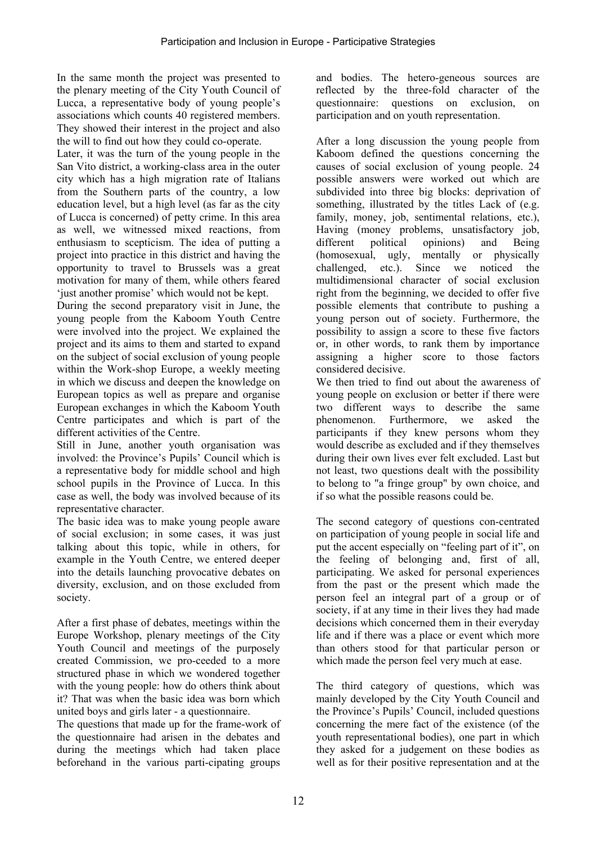In the same month the project was presented to the plenary meeting of the City Youth Council of Lucca, a representative body of young people's associations which counts 40 registered members. They showed their interest in the project and also the will to find out how they could co-operate.

Later, it was the turn of the young people in the San Vito district, a working-class area in the outer city which has a high migration rate of Italians from the Southern parts of the country, a low education level, but a high level (as far as the city of Lucca is concerned) of petty crime. In this area as well, we witnessed mixed reactions, from enthusiasm to scepticism. The idea of putting a project into practice in this district and having the opportunity to travel to Brussels was a great motivation for many of them, while others feared 'just another promise' which would not be kept.

During the second preparatory visit in June, the young people from the Kaboom Youth Centre were involved into the project. We explained the project and its aims to them and started to expand on the subject of social exclusion of young people within the Work-shop Europe, a weekly meeting in which we discuss and deepen the knowledge on European topics as well as prepare and organise European exchanges in which the Kaboom Youth Centre participates and which is part of the different activities of the Centre.

Still in June, another youth organisation was involved: the Province's Pupils' Council which is a representative body for middle school and high school pupils in the Province of Lucca. In this case as well, the body was involved because of its representative character.

The basic idea was to make young people aware of social exclusion; in some cases, it was just talking about this topic, while in others, for example in the Youth Centre, we entered deeper into the details launching provocative debates on diversity, exclusion, and on those excluded from society.

After a first phase of debates, meetings within the Europe Workshop, plenary meetings of the City Youth Council and meetings of the purposely created Commission, we pro-ceeded to a more structured phase in which we wondered together with the young people: how do others think about it? That was when the basic idea was born which united boys and girls later - a questionnaire.

The questions that made up for the frame-work of the questionnaire had arisen in the debates and during the meetings which had taken place beforehand in the various parti-cipating groups

and bodies. The hetero-geneous sources are reflected by the three-fold character of the questionnaire: questions on exclusion, on participation and on youth representation.

After a long discussion the young people from Kaboom defined the questions concerning the causes of social exclusion of young people. 24 possible answers were worked out which are subdivided into three big blocks: deprivation of something, illustrated by the titles Lack of (e.g. family, money, job, sentimental relations, etc.), Having (money problems, unsatisfactory job, different political opinions) and Being (homosexual, ugly, mentally or physically challenged, etc.). Since we noticed the multidimensional character of social exclusion right from the beginning, we decided to offer five possible elements that contribute to pushing a young person out of society. Furthermore, the possibility to assign a score to these five factors or, in other words, to rank them by importance assigning a higher score to those factors considered decisive.

We then tried to find out about the awareness of young people on exclusion or better if there were two different ways to describe the same phenomenon. Furthermore, we asked the participants if they knew persons whom they would describe as excluded and if they themselves during their own lives ever felt excluded. Last but not least, two questions dealt with the possibility to belong to "a fringe group" by own choice, and if so what the possible reasons could be.

The second category of questions con-centrated on participation of young people in social life and put the accent especially on "feeling part of it", on the feeling of belonging and, first of all, participating. We asked for personal experiences from the past or the present which made the person feel an integral part of a group or of society, if at any time in their lives they had made decisions which concerned them in their everyday life and if there was a place or event which more than others stood for that particular person or which made the person feel very much at ease.

The third category of questions, which was mainly developed by the City Youth Council and the Province's Pupils' Council, included questions concerning the mere fact of the existence (of the youth representational bodies), one part in which they asked for a judgement on these bodies as well as for their positive representation and at the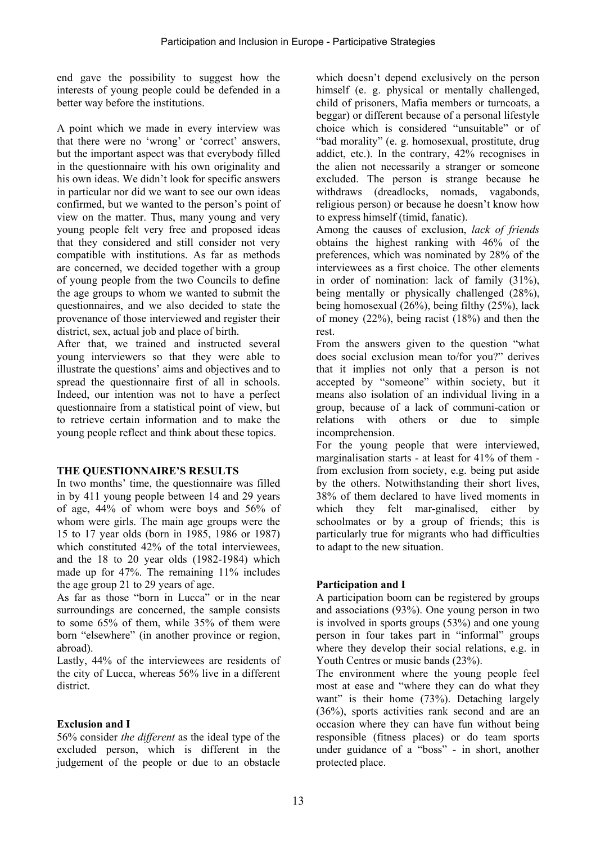end gave the possibility to suggest how the interests of young people could be defended in a better way before the institutions.

A point which we made in every interview was that there were no 'wrong' or 'correct' answers, but the important aspect was that everybody filled in the questionnaire with his own originality and his own ideas. We didn't look for specific answers in particular nor did we want to see our own ideas confirmed, but we wanted to the person's point of view on the matter. Thus, many young and very young people felt very free and proposed ideas that they considered and still consider not very compatible with institutions. As far as methods are concerned, we decided together with a group of young people from the two Councils to define the age groups to whom we wanted to submit the questionnaires, and we also decided to state the provenance of those interviewed and register their district, sex, actual job and place of birth.

After that, we trained and instructed several young interviewers so that they were able to illustrate the questions' aims and objectives and to spread the questionnaire first of all in schools. Indeed, our intention was not to have a perfect questionnaire from a statistical point of view, but to retrieve certain information and to make the young people reflect and think about these topics.

### **THE QUESTIONNAIRE'S RESULTS**

In two months' time, the questionnaire was filled in by 411 young people between 14 and 29 years of age, 44% of whom were boys and 56% of whom were girls. The main age groups were the 15 to 17 year olds (born in 1985, 1986 or 1987) which constituted 42% of the total interviewees, and the 18 to 20 year olds (1982-1984) which made up for 47%. The remaining 11% includes the age group 21 to 29 years of age.

As far as those "born in Lucca" or in the near surroundings are concerned, the sample consists to some 65% of them, while 35% of them were born "elsewhere" (in another province or region, abroad).

Lastly, 44% of the interviewees are residents of the city of Lucca, whereas 56% live in a different district.

### **Exclusion and I**

56% consider *the different* as the ideal type of the excluded person, which is different in the judgement of the people or due to an obstacle which doesn't depend exclusively on the person himself (e. g. physical or mentally challenged, child of prisoners, Mafia members or turncoats, a beggar) or different because of a personal lifestyle choice which is considered "unsuitable" or of "bad morality" (e. g. homosexual, prostitute, drug addict, etc.). In the contrary, 42% recognises in the alien not necessarily a stranger or someone excluded. The person is strange because he withdraws (dreadlocks, nomads, vagabonds, religious person) or because he doesn't know how to express himself (timid, fanatic).

Among the causes of exclusion, *lack of friends* obtains the highest ranking with 46% of the preferences, which was nominated by 28% of the interviewees as a first choice. The other elements in order of nomination: lack of family (31%), being mentally or physically challenged (28%), being homosexual (26%), being filthy (25%), lack of money (22%), being racist (18%) and then the rest.

From the answers given to the question "what does social exclusion mean to/for you?" derives that it implies not only that a person is not accepted by "someone" within society, but it means also isolation of an individual living in a group, because of a lack of communi-cation or relations with others or due to simple incomprehension.

For the young people that were interviewed, marginalisation starts - at least for 41% of them from exclusion from society, e.g. being put aside by the others. Notwithstanding their short lives, 38% of them declared to have lived moments in which they felt mar-ginalised, either by schoolmates or by a group of friends; this is particularly true for migrants who had difficulties to adapt to the new situation.

### **Participation and I**

A participation boom can be registered by groups and associations (93%). One young person in two is involved in sports groups (53%) and one young person in four takes part in "informal" groups where they develop their social relations, e.g. in Youth Centres or music bands (23%).

The environment where the young people feel most at ease and "where they can do what they want" is their home (73%). Detaching largely (36%), sports activities rank second and are an occasion where they can have fun without being responsible (fitness places) or do team sports under guidance of a "boss" - in short, another protected place.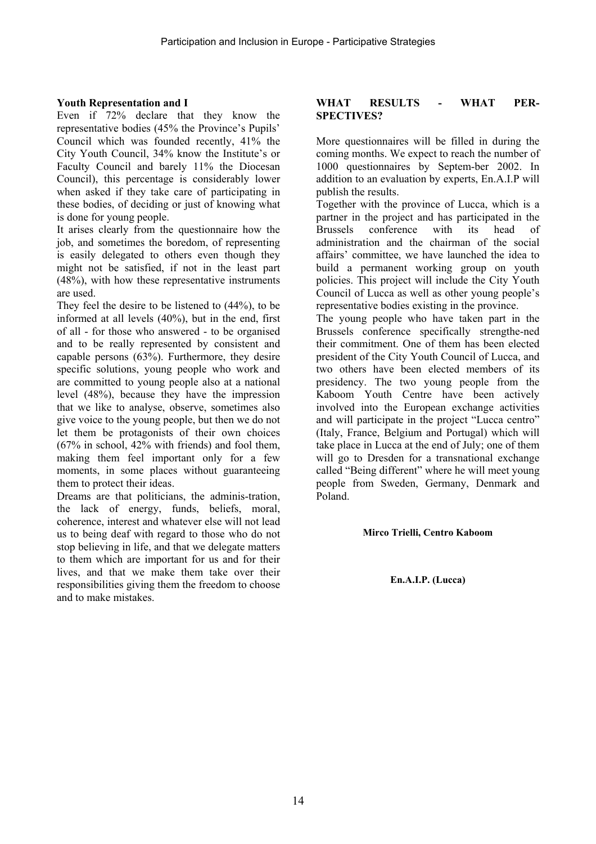### **Youth Representation and I**

Even if 72% declare that they know the representative bodies (45% the Province's Pupils' Council which was founded recently, 41% the City Youth Council, 34% know the Institute's or Faculty Council and barely 11% the Diocesan Council), this percentage is considerably lower when asked if they take care of participating in these bodies, of deciding or just of knowing what is done for young people.

It arises clearly from the questionnaire how the job, and sometimes the boredom, of representing is easily delegated to others even though they might not be satisfied, if not in the least part (48%), with how these representative instruments are used.

They feel the desire to be listened to (44%), to be informed at all levels (40%), but in the end, first of all - for those who answered - to be organised and to be really represented by consistent and capable persons (63%). Furthermore, they desire specific solutions, young people who work and are committed to young people also at a national level (48%), because they have the impression that we like to analyse, observe, sometimes also give voice to the young people, but then we do not let them be protagonists of their own choices  $(67\%$  in school,  $42\%$  with friends) and fool them. making them feel important only for a few moments, in some places without guaranteeing them to protect their ideas.

Dreams are that politicians, the adminis-tration, the lack of energy, funds, beliefs, moral, coherence, interest and whatever else will not lead us to being deaf with regard to those who do not stop believing in life, and that we delegate matters to them which are important for us and for their lives, and that we make them take over their responsibilities giving them the freedom to choose and to make mistakes.

#### **WHAT RESULTS - WHAT PER-SPECTIVES?**

More questionnaires will be filled in during the coming months. We expect to reach the number of 1000 questionnaires by Septem-ber 2002. In addition to an evaluation by experts, En.A.I.P will publish the results.

Together with the province of Lucca, which is a partner in the project and has participated in the Brussels conference with its head of administration and the chairman of the social affairs' committee, we have launched the idea to build a permanent working group on youth policies. This project will include the City Youth Council of Lucca as well as other young people's representative bodies existing in the province.

The young people who have taken part in the Brussels conference specifically strengthe-ned their commitment. One of them has been elected president of the City Youth Council of Lucca, and two others have been elected members of its presidency. The two young people from the Kaboom Youth Centre have been actively involved into the European exchange activities and will participate in the project "Lucca centro" (Italy, France, Belgium and Portugal) which will take place in Lucca at the end of July; one of them will go to Dresden for a transnational exchange called "Being different" where he will meet young people from Sweden, Germany, Denmark and Poland.

#### **Mirco Trielli, Centro Kaboom**

**En.A.I.P. (Lucca)**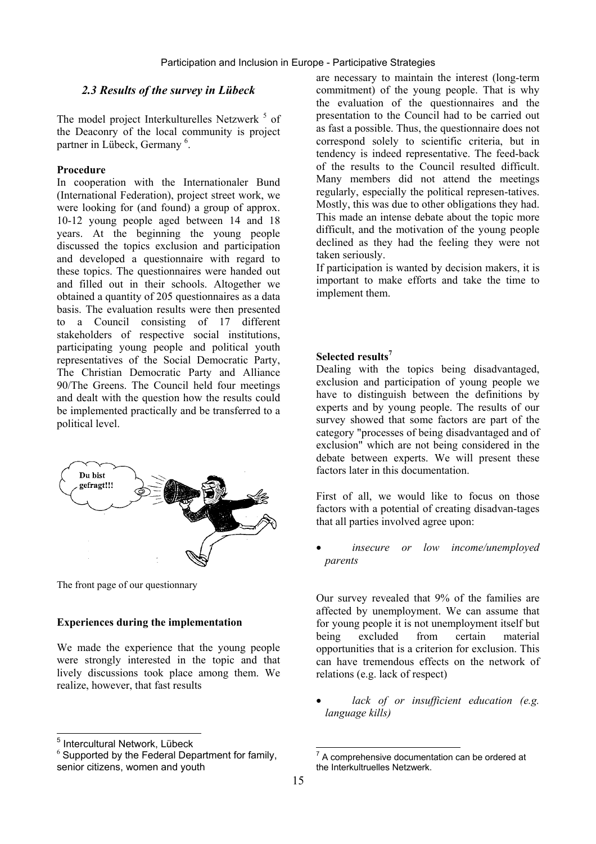### *2.3 Results of the survey in Lübeck*

The model project Interkulturelles Netzwerk <sup>5</sup> of the Deaconry of the local community is project partner in Lübeck, Germany<sup>6</sup>.

#### **Procedure**

In cooperation with the Internationaler Bund (International Federation), project street work, we were looking for (and found) a group of approx. 10-12 young people aged between 14 and 18 years. At the beginning the young people discussed the topics exclusion and participation and developed a questionnaire with regard to these topics. The questionnaires were handed out and filled out in their schools. Altogether we obtained a quantity of 205 questionnaires as a data basis. The evaluation results were then presented to a Council consisting of 17 different stakeholders of respective social institutions, participating young people and political youth representatives of the Social Democratic Party, The Christian Democratic Party and Alliance 90/The Greens. The Council held four meetings and dealt with the question how the results could be implemented practically and be transferred to a political level.



The front page of our questionnary

#### **Experiences during the implementation**

We made the experience that the young people were strongly interested in the topic and that lively discussions took place among them. We realize, however, that fast results

are necessary to maintain the interest (long-term commitment) of the young people. That is why the evaluation of the questionnaires and the presentation to the Council had to be carried out as fast a possible. Thus, the questionnaire does not correspond solely to scientific criteria, but in tendency is indeed representative. The feed-back of the results to the Council resulted difficult. Many members did not attend the meetings regularly, especially the political represen-tatives. Mostly, this was due to other obligations they had. This made an intense debate about the topic more difficult, and the motivation of the young people declined as they had the feeling they were not taken seriously.

If participation is wanted by decision makers, it is important to make efforts and take the time to implement them.

#### **Selected results7**

Dealing with the topics being disadvantaged, exclusion and participation of young people we have to distinguish between the definitions by experts and by young people. The results of our survey showed that some factors are part of the category "processes of being disadvantaged and of exclusion" which are not being considered in the debate between experts. We will present these factors later in this documentation.

First of all, we would like to focus on those factors with a potential of creating disadvan-tages that all parties involved agree upon:

• *insecure or low income/unemployed parents*

Our survey revealed that 9% of the families are affected by unemployment. We can assume that for young people it is not unemployment itself but being excluded from certain material opportunities that is a criterion for exclusion. This can have tremendous effects on the network of relations (e.g. lack of respect)

• *lack of or insufficient education (e.g. language kills)*

<sup>&</sup>lt;u>s</u><br><sup>5</sup> Intercultural Network, Lübeck

 $6$  Supported by the Federal Department for family, senior citizens, women and youth

 7 A comprehensive documentation can be ordered at the Interkultruelles Netzwerk.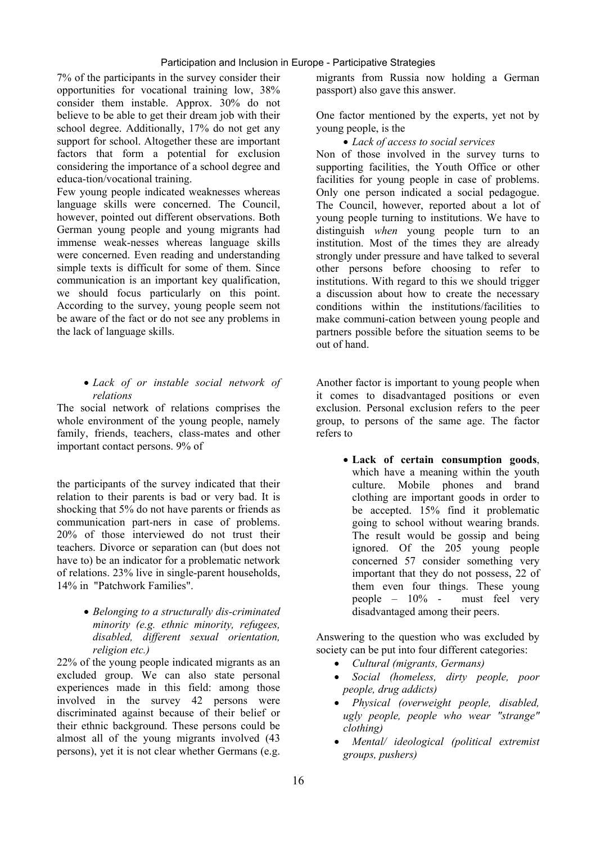7% of the participants in the survey consider their opportunities for vocational training low, 38% consider them instable. Approx. 30% do not believe to be able to get their dream job with their school degree. Additionally, 17% do not get any support for school. Altogether these are important factors that form a potential for exclusion considering the importance of a school degree and educa-tion/vocational training.

Few young people indicated weaknesses whereas language skills were concerned. The Council, however, pointed out different observations. Both German young people and young migrants had immense weak-nesses whereas language skills were concerned. Even reading and understanding simple texts is difficult for some of them. Since communication is an important key qualification, we should focus particularly on this point. According to the survey, young people seem not be aware of the fact or do not see any problems in the lack of language skills.

#### • *Lack of or instable social network of relations*

The social network of relations comprises the whole environment of the young people, namely family, friends, teachers, class-mates and other important contact persons. 9% of

the participants of the survey indicated that their relation to their parents is bad or very bad. It is shocking that 5% do not have parents or friends as communication part-ners in case of problems. 20% of those interviewed do not trust their teachers. Divorce or separation can (but does not have to) be an indicator for a problematic network of relations. 23% live in single-parent households, 14% in "Patchwork Families".

#### • *Belonging to a structurally dis-criminated minority (e.g. ethnic minority, refugees, disabled, different sexual orientation, religion etc.)*

22% of the young people indicated migrants as an excluded group. We can also state personal experiences made in this field: among those involved in the survey 42 persons were discriminated against because of their belief or their ethnic background. These persons could be almost all of the young migrants involved (43 persons), yet it is not clear whether Germans (e.g.

migrants from Russia now holding a German passport) also gave this answer.

One factor mentioned by the experts, yet not by young people, is the

• *Lack of access to social services*

Non of those involved in the survey turns to supporting facilities, the Youth Office or other facilities for young people in case of problems. Only one person indicated a social pedagogue. The Council, however, reported about a lot of young people turning to institutions. We have to distinguish *when* young people turn to an institution. Most of the times they are already strongly under pressure and have talked to several other persons before choosing to refer to institutions. With regard to this we should trigger a discussion about how to create the necessary conditions within the institutions/facilities to make communi-cation between young people and partners possible before the situation seems to be out of hand.

Another factor is important to young people when it comes to disadvantaged positions or even exclusion. Personal exclusion refers to the peer group, to persons of the same age. The factor refers to

> • **Lack of certain consumption goods**, which have a meaning within the youth culture. Mobile phones and brand clothing are important goods in order to be accepted. 15% find it problematic going to school without wearing brands. The result would be gossip and being ignored. Of the 205 young people concerned 57 consider something very important that they do not possess, 22 of them even four things. These young people – 10% - must feel very disadvantaged among their peers.

Answering to the question who was excluded by society can be put into four different categories:

- *Cultural (migrants, Germans)*
- *Social (homeless, dirty people, poor people, drug addicts)*
- *Physical (overweight people, disabled, ugly people, people who wear "strange" clothing)*
- *Mental/ ideological (political extremist groups, pushers)*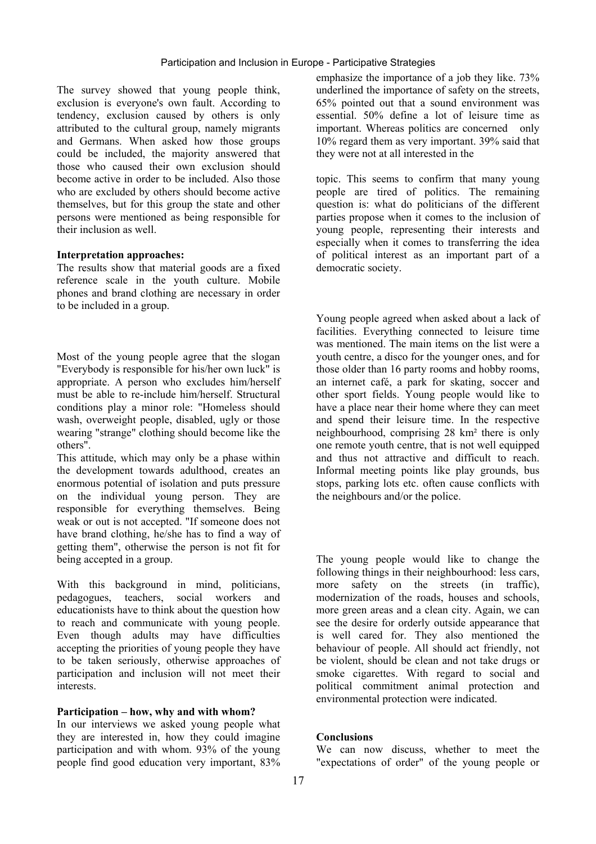The survey showed that young people think, exclusion is everyone's own fault. According to tendency, exclusion caused by others is only attributed to the cultural group, namely migrants and Germans. When asked how those groups could be included, the majority answered that those who caused their own exclusion should become active in order to be included. Also those who are excluded by others should become active themselves, but for this group the state and other persons were mentioned as being responsible for their inclusion as well.

#### **Interpretation approaches:**

The results show that material goods are a fixed reference scale in the youth culture. Mobile phones and brand clothing are necessary in order to be included in a group.

Most of the young people agree that the slogan "Everybody is responsible for his/her own luck" is appropriate. A person who excludes him/herself must be able to re-include him/herself. Structural conditions play a minor role: "Homeless should wash, overweight people, disabled, ugly or those wearing "strange" clothing should become like the others".

This attitude, which may only be a phase within the development towards adulthood, creates an enormous potential of isolation and puts pressure on the individual young person. They are responsible for everything themselves. Being weak or out is not accepted. "If someone does not have brand clothing, he/she has to find a way of getting them", otherwise the person is not fit for being accepted in a group.

With this background in mind, politicians, pedagogues, teachers, social workers and educationists have to think about the question how to reach and communicate with young people. Even though adults may have difficulties accepting the priorities of young people they have to be taken seriously, otherwise approaches of participation and inclusion will not meet their interests.

#### **Participation – how, why and with whom?**

In our interviews we asked young people what they are interested in, how they could imagine participation and with whom. 93% of the young people find good education very important, 83% emphasize the importance of a job they like. 73% underlined the importance of safety on the streets, 65% pointed out that a sound environment was essential. 50% define a lot of leisure time as important. Whereas politics are concerned only 10% regard them as very important. 39% said that they were not at all interested in the

topic. This seems to confirm that many young people are tired of politics. The remaining question is: what do politicians of the different parties propose when it comes to the inclusion of young people, representing their interests and especially when it comes to transferring the idea of political interest as an important part of a democratic society.

Young people agreed when asked about a lack of facilities. Everything connected to leisure time was mentioned. The main items on the list were a youth centre, a disco for the younger ones, and for those older than 16 party rooms and hobby rooms, an internet café, a park for skating, soccer and other sport fields. Young people would like to have a place near their home where they can meet and spend their leisure time. In the respective neighbourhood, comprising 28 km² there is only one remote youth centre, that is not well equipped and thus not attractive and difficult to reach. Informal meeting points like play grounds, bus stops, parking lots etc. often cause conflicts with the neighbours and/or the police.

The young people would like to change the following things in their neighbourhood: less cars, more safety on the streets (in traffic), modernization of the roads, houses and schools, more green areas and a clean city. Again, we can see the desire for orderly outside appearance that is well cared for. They also mentioned the behaviour of people. All should act friendly, not be violent, should be clean and not take drugs or smoke cigarettes. With regard to social and political commitment animal protection and environmental protection were indicated.

#### **Conclusions**

We can now discuss, whether to meet the "expectations of order" of the young people or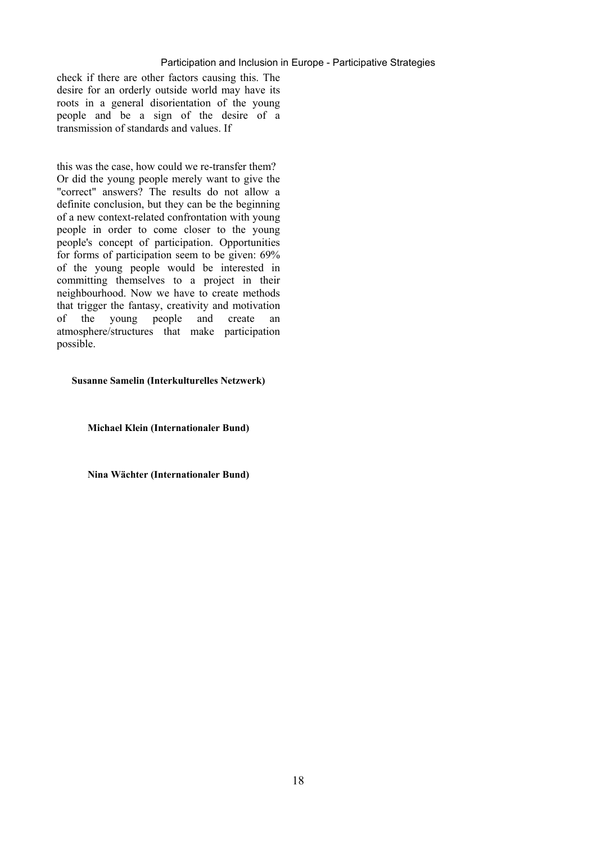#### Participation and Inclusion in Europe - Participative Strategies

check if there are other factors causing this. The desire for an orderly outside world may have its roots in a general disorientation of the young people and be a sign of the desire of a transmission of standards and values. If

this was the case, how could we re-transfer them? Or did the young people merely want to give the "correct" answers? The results do not allow a definite conclusion, but they can be the beginning of a new context-related confrontation with young people in order to come closer to the young people's concept of participation. Opportunities for forms of participation seem to be given: 69% of the young people would be interested in committing themselves to a project in their neighbourhood. Now we have to create methods that trigger the fantasy, creativity and motivation of the young people and create an atmosphere/structures that make participation possible.

#### **Susanne Samelin (Interkulturelles Netzwerk)**

**Michael Klein (Internationaler Bund)** 

**Nina Wächter (Internationaler Bund)**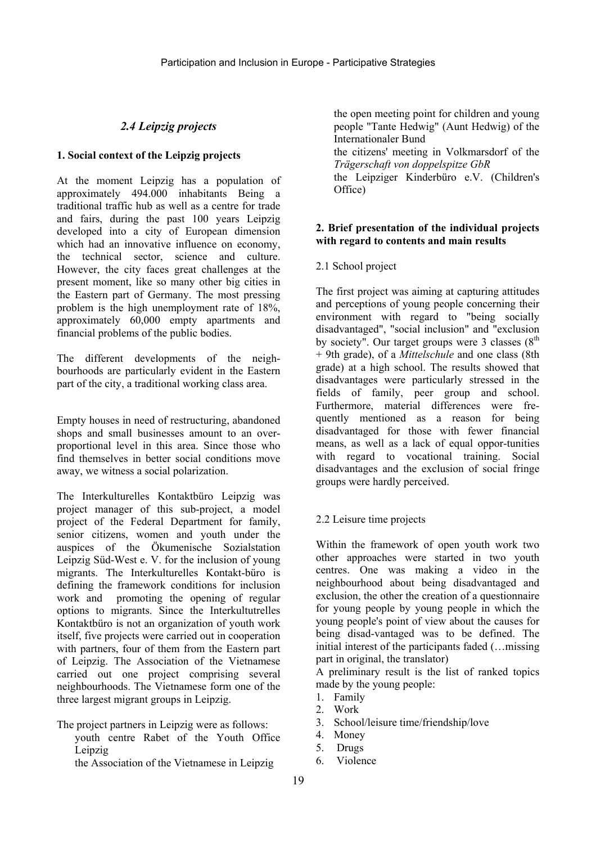### *2.4 Leipzig projects*

### **1. Social context of the Leipzig projects**

At the moment Leipzig has a population of approximately 494.000 inhabitants Being a traditional traffic hub as well as a centre for trade and fairs, during the past 100 years Leipzig developed into a city of European dimension which had an innovative influence on economy, the technical sector, science and culture. However, the city faces great challenges at the present moment, like so many other big cities in the Eastern part of Germany. The most pressing problem is the high unemployment rate of 18%, approximately 60,000 empty apartments and financial problems of the public bodies.

The different developments of the neighbourhoods are particularly evident in the Eastern part of the city, a traditional working class area.

Empty houses in need of restructuring, abandoned shops and small businesses amount to an overproportional level in this area. Since those who find themselves in better social conditions move away, we witness a social polarization.

The Interkulturelles Kontaktbüro Leipzig was project manager of this sub-project, a model project of the Federal Department for family, senior citizens, women and youth under the auspices of the Ökumenische Sozialstation Leipzig Süd-West e. V. for the inclusion of young migrants. The Interkulturelles Kontakt-büro is defining the framework conditions for inclusion work and promoting the opening of regular options to migrants. Since the Interkultutrelles Kontaktbüro is not an organization of youth work itself, five projects were carried out in cooperation with partners, four of them from the Eastern part of Leipzig. The Association of the Vietnamese carried out one project comprising several neighbourhoods. The Vietnamese form one of the three largest migrant groups in Leipzig.

The project partners in Leipzig were as follows:

 youth centre Rabet of the Youth Office Leipzig

the Association of the Vietnamese in Leipzig

 the open meeting point for children and young people "Tante Hedwig" (Aunt Hedwig) of the Internationaler Bund

 the citizens' meeting in Volkmarsdorf of the *Trägerschaft von doppelspitze GbR*

 the Leipziger Kinderbüro e.V. (Children's Office)

#### **2. Brief presentation of the individual projects with regard to contents and main results**

### 2.1 School project

The first project was aiming at capturing attitudes and perceptions of young people concerning their environment with regard to "being socially disadvantaged", "social inclusion" and "exclusion by society". Our target groups were 3 classes  $(8<sup>th</sup>$ + 9th grade), of a *Mittelschule* and one class (8th grade) at a high school. The results showed that disadvantages were particularly stressed in the fields of family, peer group and school. Furthermore, material differences were frequently mentioned as a reason for being disadvantaged for those with fewer financial means, as well as a lack of equal oppor-tunities with regard to vocational training. Social disadvantages and the exclusion of social fringe groups were hardly perceived.

### 2.2 Leisure time projects

Within the framework of open youth work two other approaches were started in two youth centres. One was making a video in the neighbourhood about being disadvantaged and exclusion, the other the creation of a questionnaire for young people by young people in which the young people's point of view about the causes for being disad-vantaged was to be defined. The initial interest of the participants faded (…missing part in original, the translator)

A preliminary result is the list of ranked topics made by the young people:

- 1. Family
- 2. Work
- 3. School/leisure time/friendship/love
- 4. Money
- 5. Drugs
- 6. Violence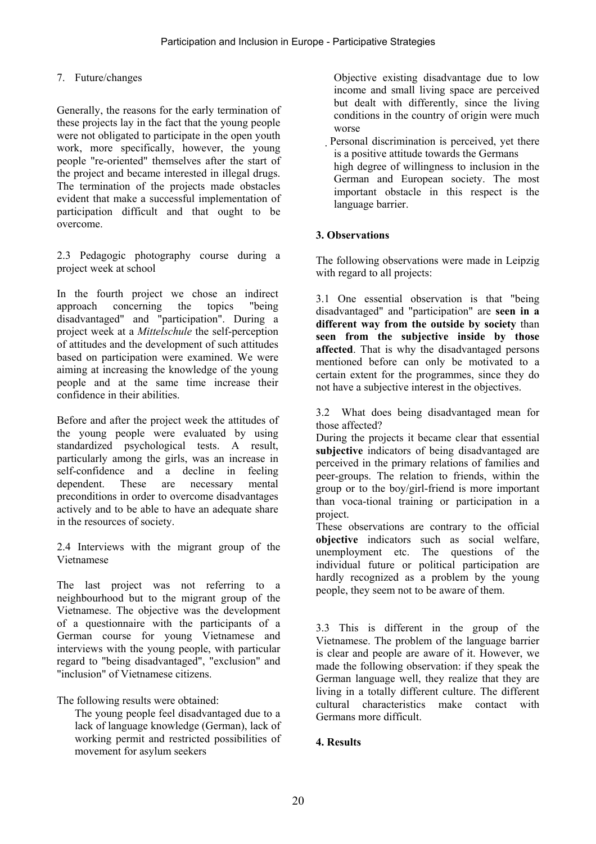### 7. Future/changes

Generally, the reasons for the early termination of these projects lay in the fact that the young people were not obligated to participate in the open youth work, more specifically, however, the young people "re-oriented" themselves after the start of the project and became interested in illegal drugs. The termination of the projects made obstacles evident that make a successful implementation of participation difficult and that ought to be overcome.

2.3 Pedagogic photography course during a project week at school

In the fourth project we chose an indirect approach concerning the topics "being disadvantaged" and "participation". During a project week at a *Mittelschule* the self-perception of attitudes and the development of such attitudes based on participation were examined. We were aiming at increasing the knowledge of the young people and at the same time increase their confidence in their abilities.

Before and after the project week the attitudes of the young people were evaluated by using standardized psychological tests. A result, particularly among the girls, was an increase in self-confidence and a decline in feeling dependent. These are necessary mental preconditions in order to overcome disadvantages actively and to be able to have an adequate share in the resources of society.

2.4 Interviews with the migrant group of the Vietnamese

The last project was not referring to a neighbourhood but to the migrant group of the Vietnamese. The objective was the development of a questionnaire with the participants of a German course for young Vietnamese and interviews with the young people, with particular regard to "being disadvantaged", "exclusion" and "inclusion" of Vietnamese citizens.

The following results were obtained:

 The young people feel disadvantaged due to a lack of language knowledge (German), lack of working permit and restricted possibilities of movement for asylum seekers

 Objective existing disadvantage due to low income and small living space are perceived but dealt with differently, since the living conditions in the country of origin were much worse

 Personal discrimination is perceived, yet there is a positive attitude towards the Germans high degree of willingness to inclusion in the German and European society. The most important obstacle in this respect is the language barrier.

### **3. Observations**

The following observations were made in Leipzig with regard to all projects:

3.1 One essential observation is that "being disadvantaged" and "participation" are **seen in a different way from the outside by society** than **seen from the subjective inside by those affected**. That is why the disadvantaged persons mentioned before can only be motivated to a certain extent for the programmes, since they do not have a subjective interest in the objectives.

3.2 What does being disadvantaged mean for those affected?

During the projects it became clear that essential **subjective** indicators of being disadvantaged are perceived in the primary relations of families and peer-groups. The relation to friends, within the group or to the boy/girl-friend is more important than voca-tional training or participation in a project.

These observations are contrary to the official **objective** indicators such as social welfare, unemployment etc. The questions of the individual future or political participation are hardly recognized as a problem by the young people, they seem not to be aware of them.

3.3 This is different in the group of the Vietnamese. The problem of the language barrier is clear and people are aware of it. However, we made the following observation: if they speak the German language well, they realize that they are living in a totally different culture. The different cultural characteristics make contact with Germans more difficult.

### **4. Results**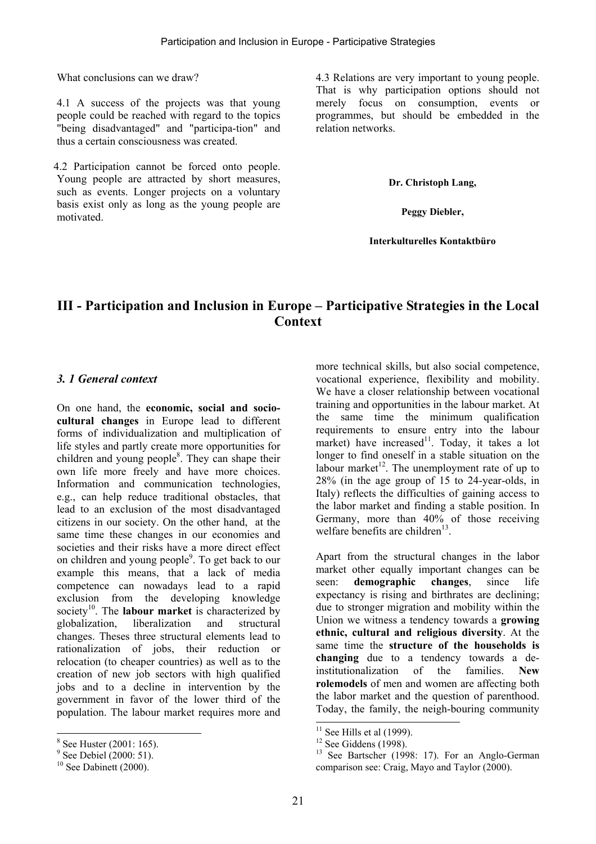What conclusions can we draw?

4.1 A success of the projects was that young people could be reached with regard to the topics "being disadvantaged" and "participa-tion" and thus a certain consciousness was created.

 4.2 Participation cannot be forced onto people. Young people are attracted by short measures, such as events. Longer projects on a voluntary basis exist only as long as the young people are motivated.

4.3 Relations are very important to young people. That is why participation options should not merely focus on consumption, events or programmes, but should be embedded in the relation networks.

**Dr. Christoph Lang,** 

**Peggy Diebler,** 

**Interkulturelles Kontaktbüro**

# **III - Participation and Inclusion in Europe – Participative Strategies in the Local Context**

### *3. 1 General context*

On one hand, the **economic, social and sociocultural changes** in Europe lead to different forms of individualization and multiplication of life styles and partly create more opportunities for children and young people<sup>8</sup>. They can shape their own life more freely and have more choices. Information and communication technologies, e.g., can help reduce traditional obstacles, that lead to an exclusion of the most disadvantaged citizens in our society. On the other hand, at the same time these changes in our economies and societies and their risks have a more direct effect on children and young people<sup>9</sup>. To get back to our example this means, that a lack of media competence can nowadays lead to a rapid exclusion from the developing knowledge society<sup>10</sup>. The **labour market** is characterized by globalization, liberalization and structural changes. Theses three structural elements lead to rationalization of jobs, their reduction or relocation (to cheaper countries) as well as to the creation of new job sectors with high qualified jobs and to a decline in intervention by the government in favor of the lower third of the population. The labour market requires more and

 $\overline{\phantom{a}}$ 

more technical skills, but also social competence, vocational experience, flexibility and mobility. We have a closer relationship between vocational training and opportunities in the labour market. At the same time the minimum qualification requirements to ensure entry into the labour market) have increased<sup>11</sup>. Today, it takes a lot longer to find oneself in a stable situation on the labour market<sup>12</sup>. The unemployment rate of up to 28% (in the age group of 15 to 24-year-olds, in Italy) reflects the difficulties of gaining access to the labor market and finding a stable position. In Germany, more than 40% of those receiving welfare benefits are children<sup>13</sup>.

Apart from the structural changes in the labor market other equally important changes can be seen: **demographic changes**, since life expectancy is rising and birthrates are declining; due to stronger migration and mobility within the Union we witness a tendency towards a **growing ethnic, cultural and religious diversity**. At the same time the **structure of the households is changing** due to a tendency towards a deinstitutionalization of the families. **New rolemodels** of men and women are affecting both the labor market and the question of parenthood. Today, the family, the neigh-bouring community

l

<sup>&</sup>lt;sup>8</sup> See Huster (2001: 165).

<sup>&</sup>lt;sup>9</sup> See Debiel (2000: 51).

 $10$  See Dabinett (2000).

 $11$  See Hills et al (1999).

 $12$  See Giddens (1998).

<sup>&</sup>lt;sup>13</sup> See Bartscher (1998: 17). For an Anglo-German comparison see: Craig, Mayo and Taylor (2000).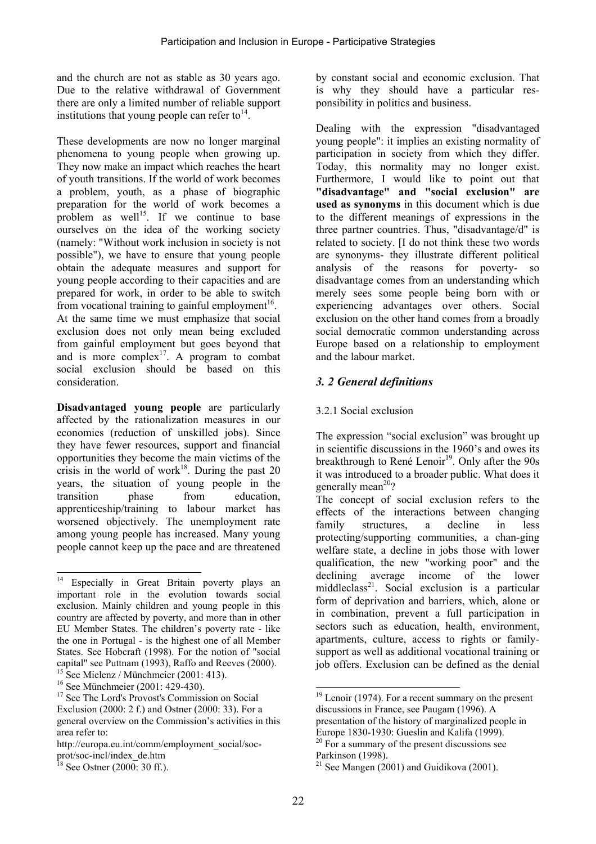and the church are not as stable as 30 years ago. Due to the relative withdrawal of Government there are only a limited number of reliable support institutions that young people can refer to  $14$ .

These developments are now no longer marginal phenomena to young people when growing up. They now make an impact which reaches the heart of youth transitions. If the world of work becomes a problem, youth, as a phase of biographic preparation for the world of work becomes a problem as well<sup>15</sup>. If we continue to base ourselves on the idea of the working society (namely: "Without work inclusion in society is not possible"), we have to ensure that young people obtain the adequate measures and support for young people according to their capacities and are prepared for work, in order to be able to switch from vocational training to gainful employment<sup>16</sup>. At the same time we must emphasize that social exclusion does not only mean being excluded from gainful employment but goes beyond that and is more complex<sup>17</sup>. A program to combat social exclusion should be based on this consideration.

**Disadvantaged young people** are particularly affected by the rationalization measures in our economies (reduction of unskilled jobs). Since they have fewer resources, support and financial opportunities they become the main victims of the crisis in the world of work<sup>18</sup>. During the past 20 years, the situation of young people in the transition phase from education, apprenticeship/training to labour market has worsened objectively. The unemployment rate among young people has increased. Many young people cannot keep up the pace and are threatened by constant social and economic exclusion. That is why they should have a particular responsibility in politics and business.

Dealing with the expression "disadvantaged young people": it implies an existing normality of participation in society from which they differ. Today, this normality may no longer exist. Furthermore, I would like to point out that **"disadvantage" and "social exclusion" are used as synonyms** in this document which is due to the different meanings of expressions in the three partner countries. Thus, "disadvantage/d" is related to society. [I do not think these two words are synonyms- they illustrate different political analysis of the reasons for poverty- so disadvantage comes from an understanding which merely sees some people being born with or experiencing advantages over others. Social exclusion on the other hand comes from a broadly social democratic common understanding across Europe based on a relationship to employment and the labour market.

### *3. 2 General definitions*

### 3.2.1 Social exclusion

The expression "social exclusion" was brought up in scientific discussions in the 1960's and owes its breakthrough to René Lenoir<sup>19</sup>. Only after the 90s it was introduced to a broader public. What does it generally mean<sup>20</sup>?

The concept of social exclusion refers to the effects of the interactions between changing family structures, a decline in less protecting/supporting communities, a chan-ging welfare state, a decline in jobs those with lower qualification, the new "working poor" and the declining average income of the lower middleclass<sup>21</sup>. Social exclusion is a particular form of deprivation and barriers, which, alone or in combination, prevent a full participation in sectors such as education, health, environment, apartments, culture, access to rights or familysupport as well as additional vocational training or job offers. Exclusion can be defined as the denial

l

 $14$ Especially in Great Britain poverty plays an important role in the evolution towards social exclusion. Mainly children and young people in this country are affected by poverty, and more than in other EU Member States. The children's poverty rate - like the one in Portugal - is the highest one of all Member States. See Hobcraft (1998). For the notion of "social capital" see Puttnam (1993), Raffo and Reeves (2000).

<sup>&</sup>lt;sup>15</sup> See Mielenz / Münchmeier (2001: 413).

<sup>16</sup> See Münchmeier (2001: 429-430).

<sup>&</sup>lt;sup>17</sup> See The Lord's Provost's Commission on Social Exclusion (2000: 2 f.) and Ostner (2000: 33). For a general overview on the Commission's activities in this area refer to:

http://europa.eu.int/comm/employment\_social/socprot/soc-incl/index\_de.htm

<sup>&</sup>lt;sup>18</sup> See Ostner (2000: 30 ff.).

 $19$  Lenoir (1974). For a recent summary on the present discussions in France, see Paugam (1996). A presentation of the history of marginalized people in

Europe 1830-1930: Gueslin and Kalifa (1999). <sup>20</sup> For a summary of the present discussions see

Parkinson (1998).

<sup>&</sup>lt;sup>21</sup> See Mangen (2001) and Guidikova (2001).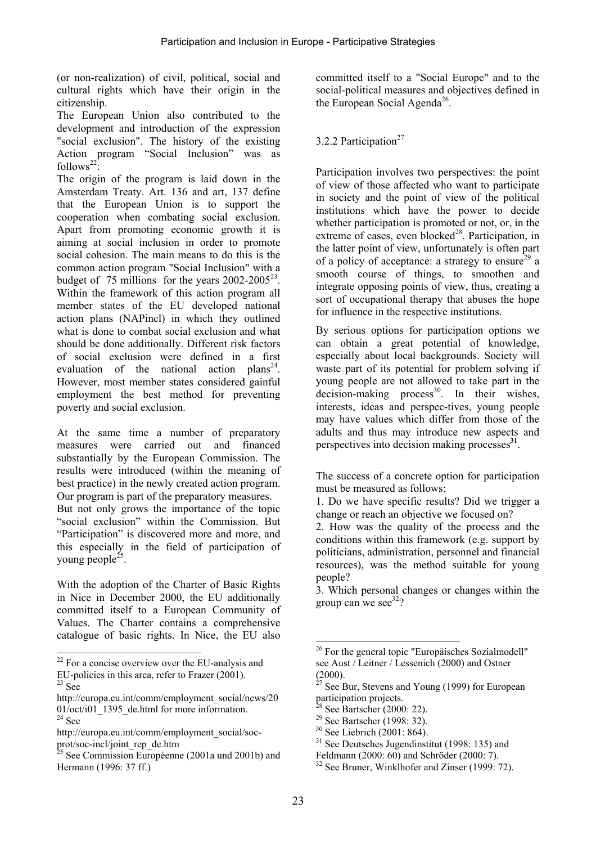(or non-realization) of civil, political, social and cultural rights which have their origin in the citizenship.

The European Union also contributed to the development and introduction of the expression "social exclusion". The history of the existing Action program "Social Inclusion" was as follows<sup>22</sup>:

The origin of the program is laid down in the Amsterdam Treaty. Art. 136 and art, 137 define that the European Union is to support the cooperation when combating social exclusion. Apart from promoting economic growth it is aiming at social inclusion in order to promote social cohesion. The main means to do this is the common action program "Social Inclusion" with a budget of  $75$  millions for the years  $2002-2005^{23}$ . Within the framework of this action program all member states of the EU developed national action plans (NAPincl) in which they outlined what is done to combat social exclusion and what should be done additionally. Different risk factors of social exclusion were defined in a first evaluation of the national action plans<sup>24</sup>. However, most member states considered gainful employment the best method for preventing poverty and social exclusion.

At the same time a number of preparatory measures were carried out and financed substantially by the European Commission. The results were introduced (within the meaning of best practice) in the newly created action program. Our program is part of the preparatory measures.

But not only grows the importance of the topic "social exclusion" within the Commission. But "Participation" is discovered more and more, and this especially in the field of participation of young people<sup>25</sup>.

With the adoption of the Charter of Basic Rights in Nice in December 2000, the EU additionally committed itself to a European Community of Values. The Charter contains a comprehensive catalogue of basic rights. In Nice, the EU also

 $\overline{a}$ 

committed itself to a "Social Europe" and to the social-political measures and objectives defined in the European Social Agenda<sup>26</sup>.

### 3.2.2 Participation $27$

Participation involves two perspectives: the point of view of those affected who want to participate in society and the point of view of the political institutions which have the power to decide whether participation is promoted or not, or, in the extreme of cases, even blocked<sup>28</sup>. Participation, in the latter point of view, unfortunately is often part of a policy of acceptance: a strategy to ensure<sup>29</sup> a smooth course of things, to smoothen and integrate opposing points of view, thus, creating a sort of occupational therapy that abuses the hope for influence in the respective institutions.

By serious options for participation options we can obtain a great potential of knowledge, especially about local backgrounds. Society will waste part of its potential for problem solving if young people are not allowed to take part in the  $\frac{1}{2}$  decision-making process<sup>30</sup>. In their wishes, interests, ideas and perspec-tives, young people may have values which differ from those of the adults and thus may introduce new aspects and perspectives into decision making processes**<sup>31</sup>**.

The success of a concrete option for participation must be measured as follows:

3. Which personal changes or changes within the group can we see $32$ ?

 $8$  See Bartscher (2000: 22).

 $22$  For a concise overview over the EU-analysis and EU-policies in this area, refer to Frazer (2001). 23 See

http://europa.eu.int/comm/employment\_social/news/20 01/oct/i01\_1395\_de.html for more information.  $^{24}$  See

http://europa.eu.int/comm/employment\_social/socprot/soc-incl/joint\_rep\_de.htm

<sup>25</sup> See Commission Européenne (2001a und 2001b) and Hermann (1996: 37 ff.)

<sup>1.</sup> Do we have specific results? Did we trigger a change or reach an objective we focused on?

<sup>2.</sup> How was the quality of the process and the conditions within this framework (e.g. support by politicians, administration, personnel and financial resources), was the method suitable for young people?

 $\overline{\phantom{a}}$ <sup>26</sup> For the general topic "Europäisches Sozialmodell" see Aust / Leitner / Lessenich (2000) and Ostner  $\frac{(2000)}{27}$ .

See Bur, Stevens and Young (1999) for European participation projects.

<sup>29</sup> See Bartscher (1998: 32).

 $30$  See Liebrich (2001: 864).

 $31$  See Deutsches Jugendinstitut (1998: 135) and

Feldmann (2000: 60) and Schröder (2000: 7).

 $32$  See Bruner, Winklhofer and Zinser (1999: 72).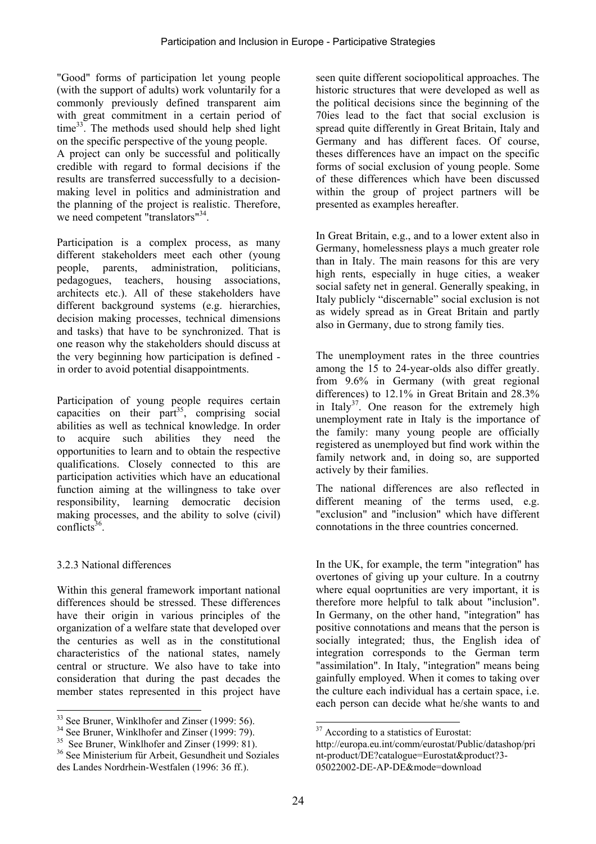"Good" forms of participation let young people (with the support of adults) work voluntarily for a commonly previously defined transparent aim with great commitment in a certain period of  $time^{33}$ . The methods used should help shed light on the specific perspective of the young people.

A project can only be successful and politically credible with regard to formal decisions if the results are transferred successfully to a decisionmaking level in politics and administration and the planning of the project is realistic. Therefore, we need competent "translators"<sup>34</sup>.

Participation is a complex process, as many different stakeholders meet each other (young people, parents, administration, politicians, pedagogues, teachers, housing associations, architects etc.). All of these stakeholders have different background systems (e.g. hierarchies, decision making processes, technical dimensions and tasks) that have to be synchronized. That is one reason why the stakeholders should discuss at the very beginning how participation is defined in order to avoid potential disappointments.

Participation of young people requires certain capacities on their  $part^{35}$ , comprising social abilities as well as technical knowledge. In order to acquire such abilities they need the opportunities to learn and to obtain the respective qualifications. Closely connected to this are participation activities which have an educational function aiming at the willingness to take over responsibility, learning democratic decision making processes, and the ability to solve (civil) conflicts $36$ .

### 3.2.3 National differences

 $\overline{\phantom{a}}$ 

Within this general framework important national differences should be stressed. These differences have their origin in various principles of the organization of a welfare state that developed over the centuries as well as in the constitutional characteristics of the national states, namely central or structure. We also have to take into consideration that during the past decades the member states represented in this project have

seen quite different sociopolitical approaches. The historic structures that were developed as well as the political decisions since the beginning of the 70ies lead to the fact that social exclusion is spread quite differently in Great Britain, Italy and Germany and has different faces. Of course, theses differences have an impact on the specific forms of social exclusion of young people. Some of these differences which have been discussed within the group of project partners will be presented as examples hereafter.

In Great Britain, e.g., and to a lower extent also in Germany, homelessness plays a much greater role than in Italy. The main reasons for this are very high rents, especially in huge cities, a weaker social safety net in general. Generally speaking, in Italy publicly "discernable" social exclusion is not as widely spread as in Great Britain and partly also in Germany, due to strong family ties.

The unemployment rates in the three countries among the 15 to 24-year-olds also differ greatly. from 9.6% in Germany (with great regional differences) to 12.1% in Great Britain and 28.3% in Italy<sup>37</sup>. One reason for the extremely high unemployment rate in Italy is the importance of the family: many young people are officially registered as unemployed but find work within the family network and, in doing so, are supported actively by their families.

The national differences are also reflected in different meaning of the terms used, e.g. "exclusion" and "inclusion" which have different connotations in the three countries concerned.

In the UK, for example, the term "integration" has overtones of giving up your culture. In a coutrny where equal ooprtunities are very important, it is therefore more helpful to talk about "inclusion". In Germany, on the other hand, "integration" has positive connotations and means that the person is socially integrated; thus, the English idea of integration corresponds to the German term "assimilation". In Italy, "integration" means being gainfully employed. When it comes to taking over the culture each individual has a certain space, i.e. each person can decide what he/she wants to and

l

<sup>&</sup>lt;sup>33</sup> See Bruner, Winklhofer and Zinser (1999: 56).

<sup>&</sup>lt;sup>34</sup> See Bruner, Winklhofer and Zinser (1999: 79).

<sup>&</sup>lt;sup>35</sup> See Bruner, Winklhofer and Zinser (1999: 81).

<sup>36</sup> See Ministerium für Arbeit, Gesundheit und Soziales des Landes Nordrhein-Westfalen (1996: 36 ff.).

<sup>&</sup>lt;sup>37</sup> According to a statistics of Eurostat:

http://europa.eu.int/comm/eurostat/Public/datashop/pri nt-product/DE?catalogue=Eurostat&product?3- 05022002-DE-AP-DE&mode=download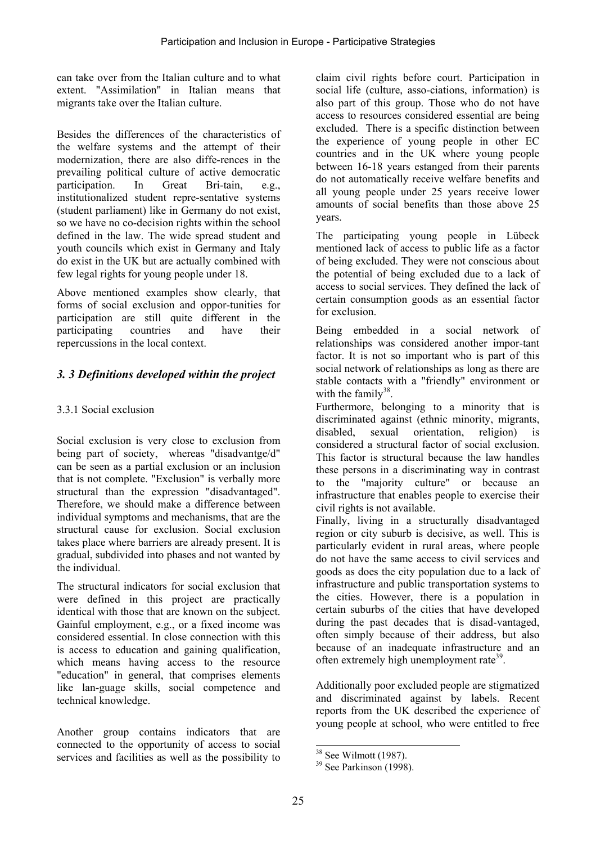can take over from the Italian culture and to what extent. "Assimilation" in Italian means that migrants take over the Italian culture.

Besides the differences of the characteristics of the welfare systems and the attempt of their modernization, there are also diffe-rences in the prevailing political culture of active democratic participation. In Great Bri-tain, e.g., institutionalized student repre-sentative systems (student parliament) like in Germany do not exist, so we have no co-decision rights within the school defined in the law. The wide spread student and youth councils which exist in Germany and Italy do exist in the UK but are actually combined with few legal rights for young people under 18.

Above mentioned examples show clearly, that forms of social exclusion and oppor-tunities for participation are still quite different in the participating countries and have their repercussions in the local context.

### *3. 3 Definitions developed within the project*

### 3.3.1 Social exclusion

Social exclusion is very close to exclusion from being part of society, whereas "disadvantge/d" can be seen as a partial exclusion or an inclusion that is not complete. "Exclusion" is verbally more structural than the expression "disadvantaged". Therefore, we should make a difference between individual symptoms and mechanisms, that are the structural cause for exclusion. Social exclusion takes place where barriers are already present. It is gradual, subdivided into phases and not wanted by the individual.

The structural indicators for social exclusion that were defined in this project are practically identical with those that are known on the subject. Gainful employment, e.g., or a fixed income was considered essential. In close connection with this is access to education and gaining qualification, which means having access to the resource "education" in general, that comprises elements like lan-guage skills, social competence and technical knowledge.

Another group contains indicators that are connected to the opportunity of access to social services and facilities as well as the possibility to

claim civil rights before court. Participation in social life (culture, asso-ciations, information) is also part of this group. Those who do not have access to resources considered essential are being excluded. There is a specific distinction between the experience of young people in other EC countries and in the UK where young people between 16-18 years estanged from their parents do not automatically receive welfare benefits and all young people under 25 years receive lower amounts of social benefits than those above 25 years.

The participating young people in Lübeck mentioned lack of access to public life as a factor of being excluded. They were not conscious about the potential of being excluded due to a lack of access to social services. They defined the lack of certain consumption goods as an essential factor for exclusion.

Being embedded in a social network of relationships was considered another impor-tant factor. It is not so important who is part of this social network of relationships as long as there are stable contacts with a "friendly" environment or with the family $38$ .

Furthermore, belonging to a minority that is discriminated against (ethnic minority, migrants, disabled, sexual orientation, religion) is considered a structural factor of social exclusion. This factor is structural because the law handles these persons in a discriminating way in contrast to the "majority culture" or because an infrastructure that enables people to exercise their civil rights is not available.

Finally, living in a structurally disadvantaged region or city suburb is decisive, as well. This is particularly evident in rural areas, where people do not have the same access to civil services and goods as does the city population due to a lack of infrastructure and public transportation systems to the cities. However, there is a population in certain suburbs of the cities that have developed during the past decades that is disad-vantaged, often simply because of their address, but also because of an inadequate infrastructure and an often extremely high unemployment rate<sup>39</sup>.

Additionally poor excluded people are stigmatized and discriminated against by labels. Recent reports from the UK described the experience of young people at school, who were entitled to free

 $\overline{\phantom{a}}$  $38$  See Wilmott (1987).

 $39$  See Parkinson (1998).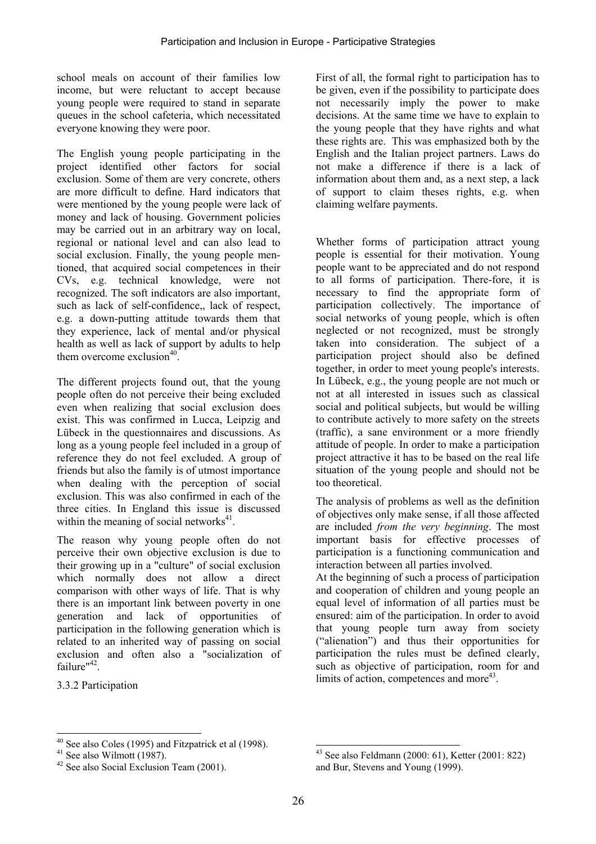school meals on account of their families low income, but were reluctant to accept because young people were required to stand in separate queues in the school cafeteria, which necessitated everyone knowing they were poor.

The English young people participating in the project identified other factors for social exclusion. Some of them are very concrete, others are more difficult to define. Hard indicators that were mentioned by the young people were lack of money and lack of housing. Government policies may be carried out in an arbitrary way on local, regional or national level and can also lead to social exclusion. Finally, the young people mentioned, that acquired social competences in their CVs, e.g. technical knowledge, were not recognized. The soft indicators are also important, such as lack of self-confidence,, lack of respect, e.g. a down-putting attitude towards them that they experience, lack of mental and/or physical health as well as lack of support by adults to help them overcome exclusion $40<sup>-1</sup>$ 

The different projects found out, that the young people often do not perceive their being excluded even when realizing that social exclusion does exist. This was confirmed in Lucca, Leipzig and Lübeck in the questionnaires and discussions. As long as a young people feel included in a group of reference they do not feel excluded. A group of friends but also the family is of utmost importance when dealing with the perception of social exclusion. This was also confirmed in each of the three cities. In England this issue is discussed within the meaning of social networks $41$ .

The reason why young people often do not perceive their own objective exclusion is due to their growing up in a "culture" of social exclusion which normally does not allow a direct comparison with other ways of life. That is why there is an important link between poverty in one generation and lack of opportunities of participation in the following generation which is related to an inherited way of passing on social exclusion and often also a "socialization of failure"<sup>42</sup>

3.3.2 Participation

 $\overline{\phantom{a}}$ 

First of all, the formal right to participation has to be given, even if the possibility to participate does not necessarily imply the power to make decisions. At the same time we have to explain to the young people that they have rights and what these rights are. This was emphasized both by the English and the Italian project partners. Laws do not make a difference if there is a lack of information about them and, as a next step, a lack of support to claim theses rights, e.g. when claiming welfare payments.

Whether forms of participation attract young people is essential for their motivation. Young people want to be appreciated and do not respond to all forms of participation. There-fore, it is necessary to find the appropriate form of participation collectively. The importance of social networks of young people, which is often neglected or not recognized, must be strongly taken into consideration. The subject of a participation project should also be defined together, in order to meet young people's interests. In Lübeck, e.g., the young people are not much or not at all interested in issues such as classical social and political subjects, but would be willing to contribute actively to more safety on the streets (traffic), a sane environment or a more friendly attitude of people. In order to make a participation project attractive it has to be based on the real life situation of the young people and should not be too theoretical.

The analysis of problems as well as the definition of objectives only make sense, if all those affected are included *from the very beginning*. The most important basis for effective processes of participation is a functioning communication and interaction between all parties involved.

At the beginning of such a process of participation and cooperation of children and young people an equal level of information of all parties must be ensured: aim of the participation. In order to avoid that young people turn away from society ("alienation") and thus their opportunities for participation the rules must be defined clearly, such as objective of participation, room for and limits of action, competences and more<sup>43</sup>.

<sup>40</sup> See also Coles (1995) and Fitzpatrick et al (1998).

 $41$  See also Wilmott (1987).

 $42$  See also Social Exclusion Team (2001).

 $\overline{\phantom{a}}$ 43 See also Feldmann (2000: 61), Ketter (2001: 822) and Bur, Stevens and Young (1999).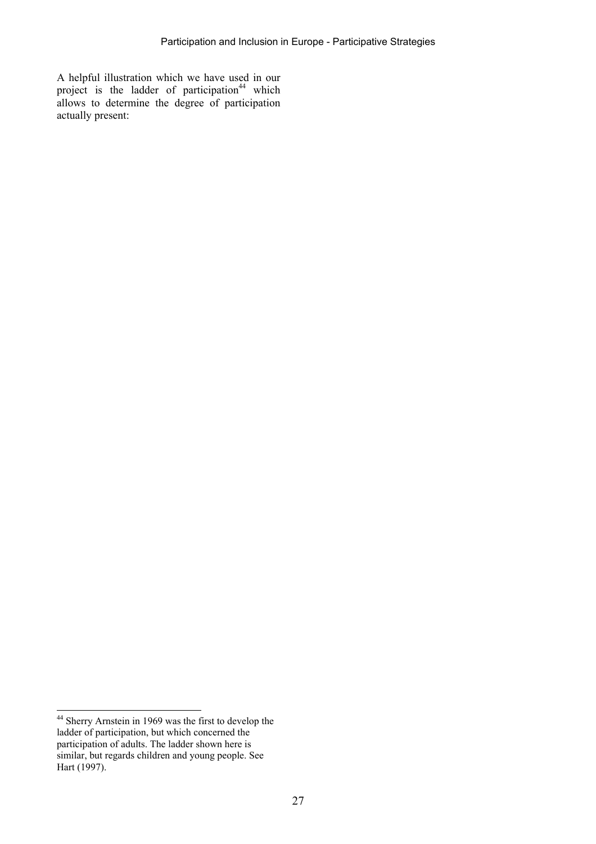A helpful illustration which we have used in our project is the ladder of participation<sup>44</sup> which allows to determine the degree of participation actually present:

 $\overline{\phantom{a}}$ 

<sup>&</sup>lt;sup>44</sup> Sherry Arnstein in 1969 was the first to develop the ladder of participation, but which concerned the participation of adults. The ladder shown here is similar, but regards children and young people. See Hart (1997).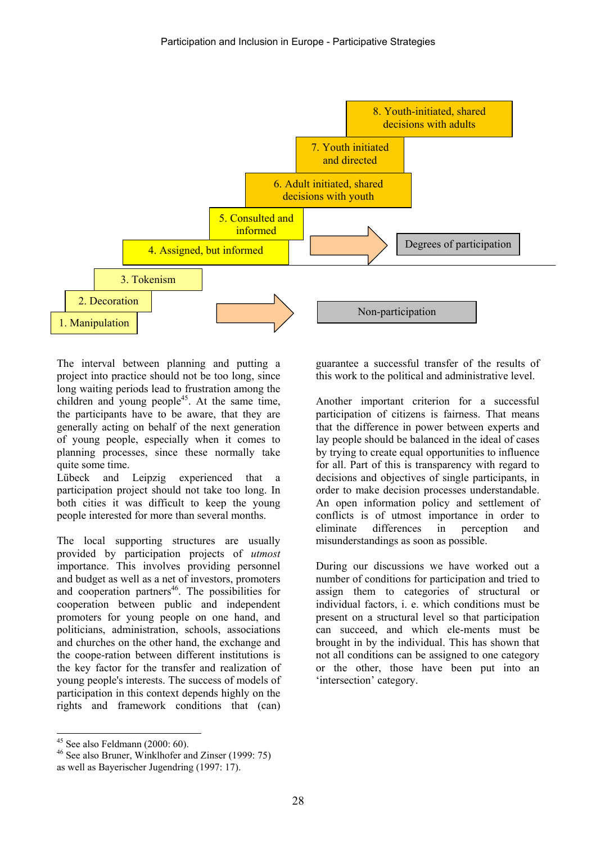

The interval between planning and putting a project into practice should not be too long, since long waiting periods lead to frustration among the children and young people<sup>45</sup>. At the same time, the participants have to be aware, that they are generally acting on behalf of the next generation of young people, especially when it comes to planning processes, since these normally take quite some time.

Lübeck and Leipzig experienced that a participation project should not take too long. In both cities it was difficult to keep the young people interested for more than several months.

The local supporting structures are usually provided by participation projects of *utmost* importance. This involves providing personnel and budget as well as a net of investors, promoters and cooperation partners<sup>46</sup>. The possibilities for cooperation between public and independent promoters for young people on one hand, and politicians, administration, schools, associations and churches on the other hand, the exchange and the coope-ration between different institutions is the key factor for the transfer and realization of young people's interests. The success of models of participation in this context depends highly on the rights and framework conditions that (can)

guarantee a successful transfer of the results of this work to the political and administrative level.

Another important criterion for a successful participation of citizens is fairness. That means that the difference in power between experts and lay people should be balanced in the ideal of cases by trying to create equal opportunities to influence for all. Part of this is transparency with regard to decisions and objectives of single participants, in order to make decision processes understandable. An open information policy and settlement of conflicts is of utmost importance in order to eliminate differences in perception and misunderstandings as soon as possible.

During our discussions we have worked out a number of conditions for participation and tried to assign them to categories of structural or individual factors, i. e. which conditions must be present on a structural level so that participation can succeed, and which ele-ments must be brought in by the individual. This has shown that not all conditions can be assigned to one category or the other, those have been put into an 'intersection' category.

 $\overline{\phantom{a}}$ 

 $45$  See also Feldmann (2000: 60).

<sup>46</sup> See also Bruner, Winklhofer and Zinser (1999: 75)

as well as Bayerischer Jugendring (1997: 17).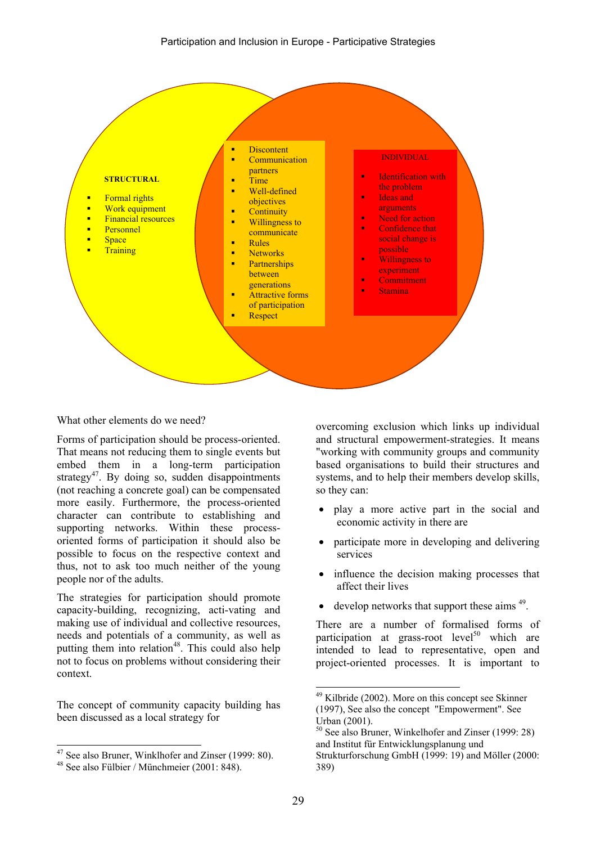

What other elements do we need?

Forms of participation should be process-oriented. That means not reducing them to single events but embed them in a long-term participation strategy<sup>47</sup>. By doing so, sudden disappointments (not reaching a concrete goal) can be compensated more easily. Furthermore, the process-oriented character can contribute to establishing and supporting networks. Within these processoriented forms of participation it should also be possible to focus on the respective context and thus, not to ask too much neither of the young people nor of the adults.

The strategies for participation should promote capacity-building, recognizing, acti-vating and making use of individual and collective resources, needs and potentials of a community, as well as putting them into relation<sup>48</sup>. This could also help not to focus on problems without considering their context.

The concept of community capacity building has been discussed as a local strategy for

 $\overline{\phantom{a}}$ 

overcoming exclusion which links up individual and structural empowerment-strategies. It means "working with community groups and community based organisations to build their structures and systems, and to help their members develop skills, so they can:

- play a more active part in the social and economic activity in there are
- participate more in developing and delivering services
- influence the decision making processes that affect their lives
- develop networks that support these aims  $49$ .

There are a number of formalised forms of participation at grass-root level<sup>50</sup> which are intended to lead to representative, open and project-oriented processes. It is important to

l

<sup>&</sup>lt;sup>47</sup> See also Bruner, Winklhofer and Zinser (1999: 80).

<sup>48</sup> See also Fülbier / Münchmeier (2001: 848).

 $49$  Kilbride (2002). More on this concept see Skinner (1997), See also the concept "Empowerment". See Urban (2001).

<sup>50</sup> See also Bruner, Winkelhofer and Zinser (1999: 28) and Institut für Entwicklungsplanung und Strukturforschung GmbH (1999: 19) and Möller (2000:

<sup>389)</sup>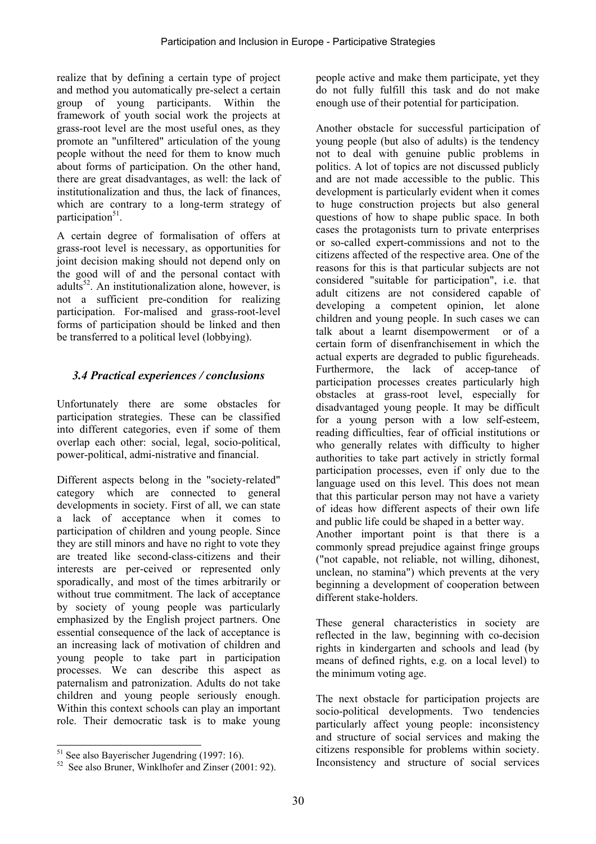realize that by defining a certain type of project and method you automatically pre-select a certain group of young participants. Within the framework of youth social work the projects at grass-root level are the most useful ones, as they promote an "unfiltered" articulation of the young people without the need for them to know much about forms of participation. On the other hand, there are great disadvantages, as well: the lack of institutionalization and thus, the lack of finances, which are contrary to a long-term strategy of participation $51$ .

A certain degree of formalisation of offers at grass-root level is necessary, as opportunities for joint decision making should not depend only on the good will of and the personal contact with adults $52$ . An institutionalization alone, however, is not a sufficient pre-condition for realizing participation. For-malised and grass-root-level forms of participation should be linked and then be transferred to a political level (lobbying).

### *3.4 Practical experiences / conclusions*

Unfortunately there are some obstacles for participation strategies. These can be classified into different categories, even if some of them overlap each other: social, legal, socio-political, power-political, admi-nistrative and financial.

Different aspects belong in the "society-related" category which are connected to general developments in society. First of all, we can state a lack of acceptance when it comes to participation of children and young people. Since they are still minors and have no right to vote they are treated like second-class-citizens and their interests are per-ceived or represented only sporadically, and most of the times arbitrarily or without true commitment. The lack of acceptance by society of young people was particularly emphasized by the English project partners. One essential consequence of the lack of acceptance is an increasing lack of motivation of children and young people to take part in participation processes. We can describe this aspect as paternalism and patronization. Adults do not take children and young people seriously enough. Within this context schools can play an important role. Their democratic task is to make young

people active and make them participate, yet they do not fully fulfill this task and do not make enough use of their potential for participation.

Another obstacle for successful participation of young people (but also of adults) is the tendency not to deal with genuine public problems in politics. A lot of topics are not discussed publicly and are not made accessible to the public. This development is particularly evident when it comes to huge construction projects but also general questions of how to shape public space. In both cases the protagonists turn to private enterprises or so-called expert-commissions and not to the citizens affected of the respective area. One of the reasons for this is that particular subjects are not considered "suitable for participation", i.e. that adult citizens are not considered capable of developing a competent opinion, let alone children and young people. In such cases we can talk about a learnt disempowerment or of a certain form of disenfranchisement in which the actual experts are degraded to public figureheads. Furthermore, the lack of accep-tance of participation processes creates particularly high obstacles at grass-root level, especially for disadvantaged young people. It may be difficult for a young person with a low self-esteem, reading difficulties, fear of official institutions or who generally relates with difficulty to higher authorities to take part actively in strictly formal participation processes, even if only due to the language used on this level. This does not mean that this particular person may not have a variety of ideas how different aspects of their own life and public life could be shaped in a better way. Another important point is that there is a commonly spread prejudice against fringe groups ("not capable, not reliable, not willing, dihonest, unclean, no stamina") which prevents at the very beginning a development of cooperation between different stake-holders.

These general characteristics in society are reflected in the law, beginning with co-decision rights in kindergarten and schools and lead (by means of defined rights, e.g. on a local level) to the minimum voting age.

The next obstacle for participation projects are socio-political developments. Two tendencies particularly affect young people: inconsistency and structure of social services and making the citizens responsible for problems within society. Inconsistency and structure of social services

 $\overline{\phantom{a}}$ 51 See also Bayerischer Jugendring (1997: 16).

<sup>&</sup>lt;sup>52</sup> See also Bruner, Winklhofer and Zinser (2001: 92).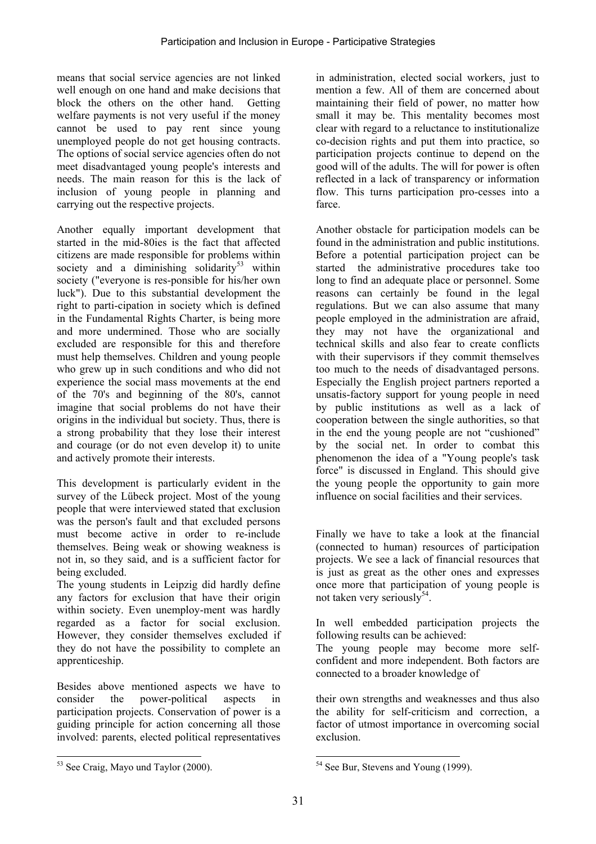means that social service agencies are not linked well enough on one hand and make decisions that block the others on the other hand. Getting welfare payments is not very useful if the money cannot be used to pay rent since young unemployed people do not get housing contracts. The options of social service agencies often do not meet disadvantaged young people's interests and needs. The main reason for this is the lack of inclusion of young people in planning and carrying out the respective projects.

Another equally important development that started in the mid-80ies is the fact that affected citizens are made responsible for problems within society and a diminishing solidarity<sup>53</sup> within society ("everyone is res-ponsible for his/her own luck"). Due to this substantial development the right to parti-cipation in society which is defined in the Fundamental Rights Charter, is being more and more undermined. Those who are socially excluded are responsible for this and therefore must help themselves. Children and young people who grew up in such conditions and who did not experience the social mass movements at the end of the 70's and beginning of the 80's, cannot imagine that social problems do not have their origins in the individual but society. Thus, there is a strong probability that they lose their interest and courage (or do not even develop it) to unite and actively promote their interests.

This development is particularly evident in the survey of the Lübeck project. Most of the young people that were interviewed stated that exclusion was the person's fault and that excluded persons must become active in order to re-include themselves. Being weak or showing weakness is not in, so they said, and is a sufficient factor for being excluded.

The young students in Leipzig did hardly define any factors for exclusion that have their origin within society. Even unemploy-ment was hardly regarded as a factor for social exclusion. However, they consider themselves excluded if they do not have the possibility to complete an apprenticeship.

Besides above mentioned aspects we have to consider the power-political aspects in participation projects. Conservation of power is a guiding principle for action concerning all those involved: parents, elected political representatives

in administration, elected social workers, just to mention a few. All of them are concerned about maintaining their field of power, no matter how small it may be. This mentality becomes most clear with regard to a reluctance to institutionalize co-decision rights and put them into practice, so participation projects continue to depend on the good will of the adults. The will for power is often reflected in a lack of transparency or information flow. This turns participation pro-cesses into a farce.

Another obstacle for participation models can be found in the administration and public institutions. Before a potential participation project can be started the administrative procedures take too long to find an adequate place or personnel. Some reasons can certainly be found in the legal regulations. But we can also assume that many people employed in the administration are afraid, they may not have the organizational and technical skills and also fear to create conflicts with their supervisors if they commit themselves too much to the needs of disadvantaged persons. Especially the English project partners reported a unsatis-factory support for young people in need by public institutions as well as a lack of cooperation between the single authorities, so that in the end the young people are not "cushioned" by the social net. In order to combat this phenomenon the idea of a "Young people's task force" is discussed in England. This should give the young people the opportunity to gain more influence on social facilities and their services.

Finally we have to take a look at the financial (connected to human) resources of participation projects. We see a lack of financial resources that is just as great as the other ones and expresses once more that participation of young people is not taken very seriously<sup>54</sup>.

In well embedded participation projects the following results can be achieved:

The young people may become more selfconfident and more independent. Both factors are connected to a broader knowledge of

their own strengths and weaknesses and thus also the ability for self-criticism and correction, a factor of utmost importance in overcoming social exclusion.

 $\overline{\phantom{a}}$ <sup>53</sup> See Craig, Mayo und Taylor (2000).

 $\overline{\phantom{a}}$ <sup>54</sup> See Bur, Stevens and Young (1999).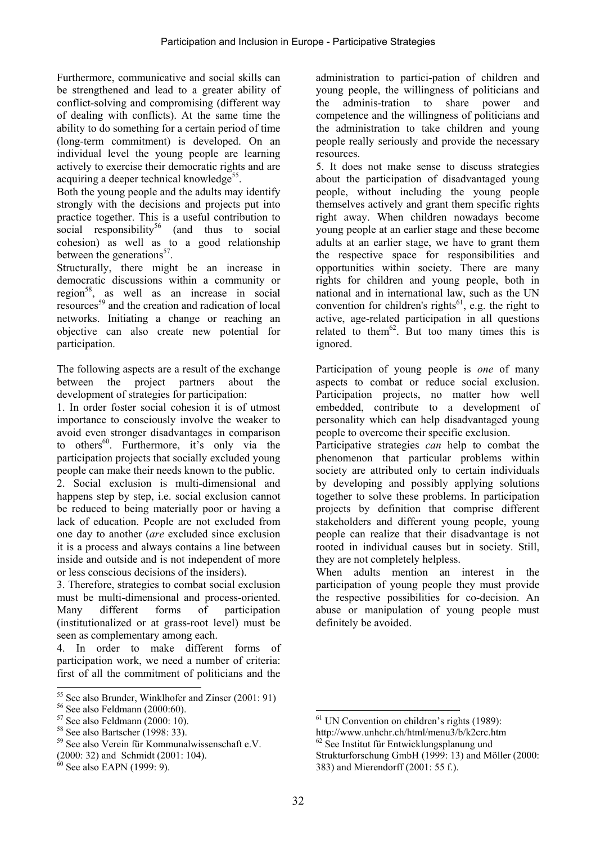Furthermore, communicative and social skills can be strengthened and lead to a greater ability of conflict-solving and compromising (different way of dealing with conflicts). At the same time the ability to do something for a certain period of time (long-term commitment) is developed. On an individual level the young people are learning actively to exercise their democratic rights and are acquiring a deeper technical knowledge<sup>55</sup>.

Both the young people and the adults may identify strongly with the decisions and projects put into practice together. This is a useful contribution to social responsibility<sup>56</sup> (and thus to social cohesion) as well as to a good relationship between the generations<sup>57</sup>.

Structurally, there might be an increase in democratic discussions within a community or region<sup>58</sup>, as well as an increase in social resources<sup>59</sup> and the creation and radication of local networks. Initiating a change or reaching an objective can also create new potential for participation.

The following aspects are a result of the exchange between the project partners about the development of strategies for participation:

1. In order foster social cohesion it is of utmost importance to consciously involve the weaker to avoid even stronger disadvantages in comparison to others<sup>60</sup>. Furthermore, it's only via the participation projects that socially excluded young people can make their needs known to the public.

2. Social exclusion is multi-dimensional and happens step by step, i.e. social exclusion cannot be reduced to being materially poor or having a lack of education. People are not excluded from one day to another (*are* excluded since exclusion it is a process and always contains a line between inside and outside and is not independent of more or less conscious decisions of the insiders).

3. Therefore, strategies to combat social exclusion must be multi-dimensional and process-oriented. Many different forms of participation (institutionalized or at grass-root level) must be seen as complementary among each.

4. In order to make different forms of participation work, we need a number of criteria: first of all the commitment of politicians and the

l

administration to partici-pation of children and young people, the willingness of politicians and the adminis-tration to share power and competence and the willingness of politicians and the administration to take children and young people really seriously and provide the necessary resources.

5. It does not make sense to discuss strategies about the participation of disadvantaged young people, without including the young people themselves actively and grant them specific rights right away. When children nowadays become young people at an earlier stage and these become adults at an earlier stage, we have to grant them the respective space for responsibilities and opportunities within society. There are many rights for children and young people, both in national and in international law, such as the UN convention for children's rights<sup>61</sup>, e.g. the right to active, age-related participation in all questions related to them<sup>62</sup>. But too many times this is ignored.

Participation of young people is *one* of many aspects to combat or reduce social exclusion. Participation projects, no matter how well embedded, contribute to a development of personality which can help disadvantaged young people to overcome their specific exclusion.

Participative strategies *can* help to combat the phenomenon that particular problems within society are attributed only to certain individuals by developing and possibly applying solutions together to solve these problems. In participation projects by definition that comprise different stakeholders and different young people, young people can realize that their disadvantage is not rooted in individual causes but in society. Still, they are not completely helpless.

When adults mention an interest in the participation of young people they must provide the respective possibilities for co-decision. An abuse or manipulation of young people must definitely be avoided.

 $\overline{\phantom{a}}$ 

<sup>&</sup>lt;sup>55</sup> See also Brunder, Winklhofer and Zinser (2001: 91)

<sup>56</sup> See also Feldmann (2000:60).

 $57$  See also Feldmann (2000: 10).

<sup>58</sup> See also Bartscher (1998: 33).

<sup>59</sup> See also Verein für Kommunalwissenschaft e.V.

<sup>(2000: 32)</sup> and Schmidt (2001: 104).

 $60$  See also EAPN (1999: 9).

 $<sup>61</sup>$  UN Convention on children's rights (1989):</sup>

http://www.unhchr.ch/html/menu3/b/k2crc.htm

<sup>&</sup>lt;sup>62</sup> See Institut für Entwicklungsplanung und

Strukturforschung GmbH (1999: 13) and Möller (2000: 383) and Mierendorff (2001: 55 f.).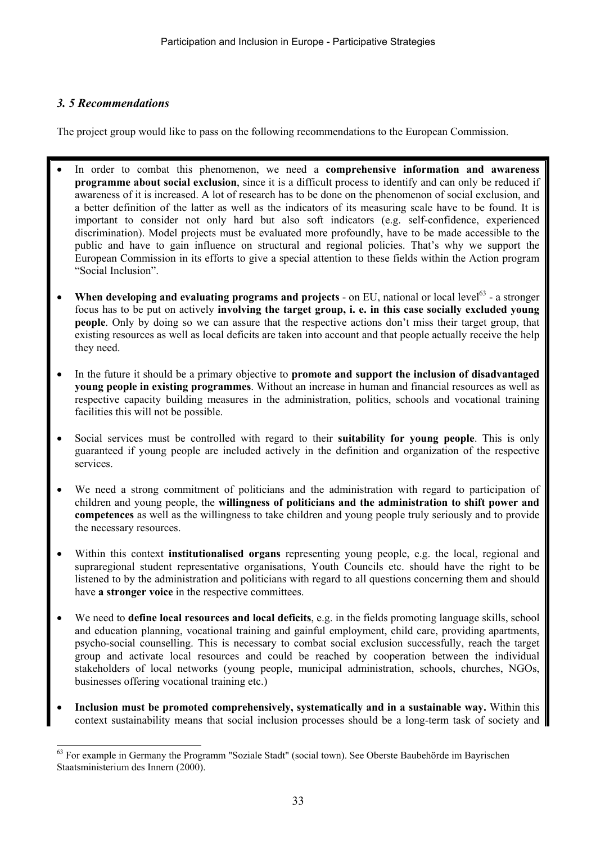### *3. 5 Recommendations*

 $\overline{\phantom{a}}$ 

The project group would like to pass on the following recommendations to the European Commission.

- In order to combat this phenomenon, we need a **comprehensive information and awareness programme about social exclusion**, since it is a difficult process to identify and can only be reduced if awareness of it is increased. A lot of research has to be done on the phenomenon of social exclusion, and a better definition of the latter as well as the indicators of its measuring scale have to be found. It is important to consider not only hard but also soft indicators (e.g. self-confidence, experienced discrimination). Model projects must be evaluated more profoundly, have to be made accessible to the public and have to gain influence on structural and regional policies. That's why we support the European Commission in its efforts to give a special attention to these fields within the Action program "Social Inclusion".
- When developing and evaluating programs and projects on EU, national or local level<sup>63</sup> a stronger focus has to be put on actively **involving the target group, i. e. in this case socially excluded young people**. Only by doing so we can assure that the respective actions don't miss their target group, that existing resources as well as local deficits are taken into account and that people actually receive the help they need.
- In the future it should be a primary objective to **promote and support the inclusion of disadvantaged young people in existing programmes**. Without an increase in human and financial resources as well as respective capacity building measures in the administration, politics, schools and vocational training facilities this will not be possible.
- Social services must be controlled with regard to their **suitability for young people**. This is only guaranteed if young people are included actively in the definition and organization of the respective services.
- We need a strong commitment of politicians and the administration with regard to participation of children and young people, the **willingness of politicians and the administration to shift power and competences** as well as the willingness to take children and young people truly seriously and to provide the necessary resources.
- Within this context **institutionalised organs** representing young people, e.g. the local, regional and supraregional student representative organisations, Youth Councils etc. should have the right to be listened to by the administration and politicians with regard to all questions concerning them and should have **a stronger voice** in the respective committees.
- We need to **define local resources and local deficits**, e.g. in the fields promoting language skills, school and education planning, vocational training and gainful employment, child care, providing apartments, psycho-social counselling. This is necessary to combat social exclusion successfully, reach the target group and activate local resources and could be reached by cooperation between the individual stakeholders of local networks (young people, municipal administration, schools, churches, NGOs, businesses offering vocational training etc.)
- **Inclusion must be promoted comprehensively, systematically and in a sustainable way.** Within this context sustainability means that social inclusion processes should be a long-term task of society and

<sup>&</sup>lt;sup>63</sup> For example in Germany the Programm "Soziale Stadt" (social town). See Oberste Baubehörde im Bayrischen Staatsministerium des Innern (2000).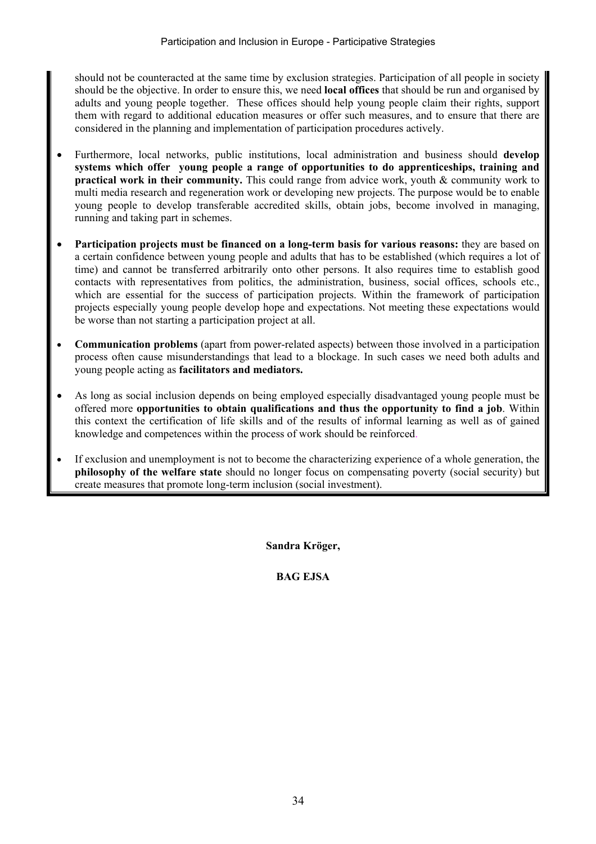should not be counteracted at the same time by exclusion strategies. Participation of all people in society should be the objective. In order to ensure this, we need **local offices** that should be run and organised by adults and young people together. These offices should help young people claim their rights, support them with regard to additional education measures or offer such measures, and to ensure that there are considered in the planning and implementation of participation procedures actively.

- Furthermore, local networks, public institutions, local administration and business should **develop systems which offer young people a range of opportunities to do apprenticeships, training and practical work in their community.** This could range from advice work, youth & community work to multi media research and regeneration work or developing new projects. The purpose would be to enable young people to develop transferable accredited skills, obtain jobs, become involved in managing, running and taking part in schemes.
- **Participation projects must be financed on a long-term basis for various reasons:** they are based on a certain confidence between young people and adults that has to be established (which requires a lot of time) and cannot be transferred arbitrarily onto other persons. It also requires time to establish good contacts with representatives from politics, the administration, business, social offices, schools etc., which are essential for the success of participation projects. Within the framework of participation projects especially young people develop hope and expectations. Not meeting these expectations would be worse than not starting a participation project at all.
- **Communication problems** (apart from power-related aspects) between those involved in a participation process often cause misunderstandings that lead to a blockage. In such cases we need both adults and young people acting as **facilitators and mediators.**
- As long as social inclusion depends on being employed especially disadvantaged young people must be offered more **opportunities to obtain qualifications and thus the opportunity to find a job**. Within this context the certification of life skills and of the results of informal learning as well as of gained knowledge and competences within the process of work should be reinforced.
- If exclusion and unemployment is not to become the characterizing experience of a whole generation, the **philosophy of the welfare state** should no longer focus on compensating poverty (social security) but create measures that promote long-term inclusion (social investment).

**Sandra Kröger,** 

### **BAG EJSA**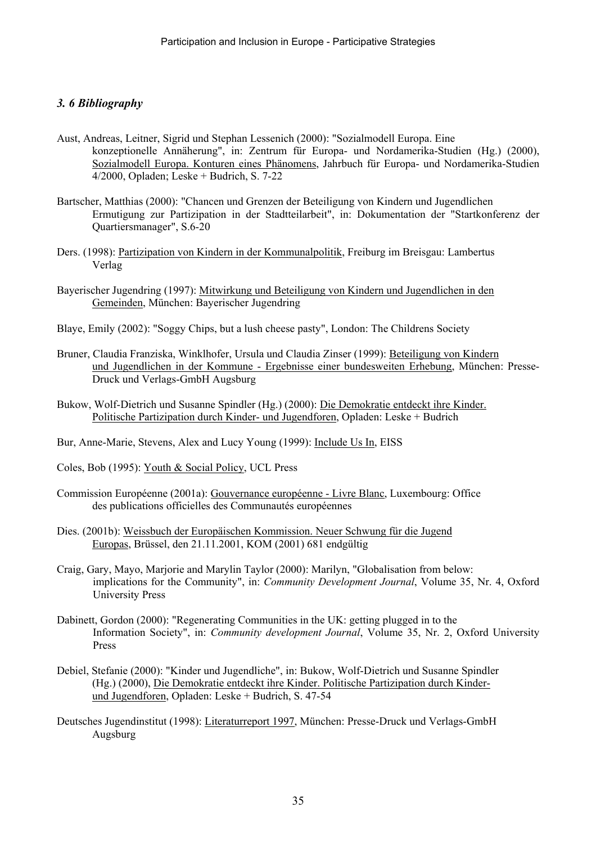### *3. 6 Bibliography*

- Aust, Andreas, Leitner, Sigrid und Stephan Lessenich (2000): "Sozialmodell Europa. Eine konzeptionelle Annäherung", in: Zentrum für Europa- und Nordamerika-Studien (Hg.) (2000), Sozialmodell Europa. Konturen eines Phänomens, Jahrbuch für Europa- und Nordamerika-Studien 4/2000, Opladen; Leske + Budrich, S. 7-22
- Bartscher, Matthias (2000): "Chancen und Grenzen der Beteiligung von Kindern und Jugendlichen Ermutigung zur Partizipation in der Stadtteilarbeit", in: Dokumentation der "Startkonferenz der Quartiersmanager", S.6-20
- Ders. (1998): Partizipation von Kindern in der Kommunalpolitik, Freiburg im Breisgau: Lambertus Verlag
- Bayerischer Jugendring (1997): Mitwirkung und Beteiligung von Kindern und Jugendlichen in den Gemeinden, München: Bayerischer Jugendring
- Blaye, Emily (2002): "Soggy Chips, but a lush cheese pasty", London: The Childrens Society
- Bruner, Claudia Franziska, Winklhofer, Ursula und Claudia Zinser (1999): Beteiligung von Kindern und Jugendlichen in der Kommune - Ergebnisse einer bundesweiten Erhebung, München: Presse-Druck und Verlags-GmbH Augsburg
- Bukow, Wolf-Dietrich und Susanne Spindler (Hg.) (2000): Die Demokratie entdeckt ihre Kinder. Politische Partizipation durch Kinder- und Jugendforen, Opladen: Leske + Budrich
- Bur, Anne-Marie, Stevens, Alex and Lucy Young (1999): Include Us In, EISS
- Coles, Bob (1995): Youth & Social Policy, UCL Press
- Commission Européenne (2001a): Gouvernance européenne Livre Blanc, Luxembourg: Office des publications officielles des Communautés européennes
- Dies. (2001b): Weissbuch der Europäischen Kommission. Neuer Schwung für die Jugend Europas, Brüssel, den 21.11.2001, KOM (2001) 681 endgültig
- Craig, Gary, Mayo, Marjorie and Marylin Taylor (2000): Marilyn, "Globalisation from below: implications for the Community", in: *Community Development Journal*, Volume 35, Nr. 4, Oxford University Press
- Dabinett, Gordon (2000): "Regenerating Communities in the UK: getting plugged in to the Information Society", in: *Community development Journal*, Volume 35, Nr. 2, Oxford University Press
- Debiel, Stefanie (2000): "Kinder und Jugendliche", in: Bukow, Wolf-Dietrich und Susanne Spindler (Hg.) (2000), Die Demokratie entdeckt ihre Kinder. Politische Partizipation durch Kinderund Jugendforen, Opladen: Leske + Budrich, S. 47-54
- Deutsches Jugendinstitut (1998): Literaturreport 1997, München: Presse-Druck und Verlags-GmbH Augsburg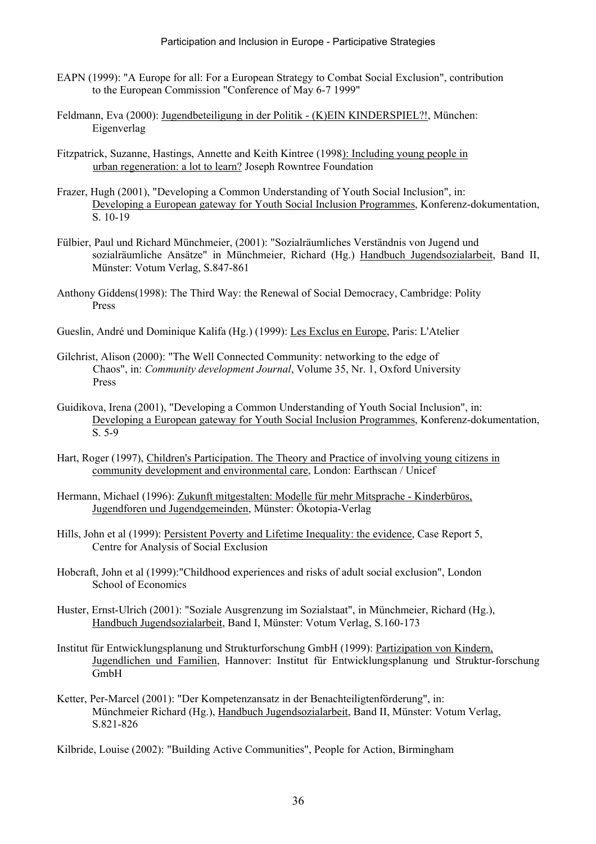- EAPN (1999): "A Europe for all: For a European Strategy to Combat Social Exclusion", contribution to the European Commission "Conference of May 6-7 1999"
- Feldmann, Eva (2000): Jugendbeteiligung in der Politik (K)EIN KINDERSPIEL?!, München: Eigenverlag
- Fitzpatrick, Suzanne, Hastings, Annette and Keith Kintree (1998): Including young people in urban regeneration: a lot to learn? Joseph Rowntree Foundation
- Frazer, Hugh (2001), "Developing a Common Understanding of Youth Social Inclusion", in: Developing a European gateway for Youth Social Inclusion Programmes, Konferenz-dokumentation, S. 10-19
- Fülbier, Paul und Richard Münchmeier, (2001): "Sozialräumliches Verständnis von Jugend und sozialräumliche Ansätze" in Münchmeier, Richard (Hg.) Handbuch Jugendsozialarbeit, Band II, Münster: Votum Verlag, S.847-861
- Anthony Giddens(1998): The Third Way: the Renewal of Social Democracy, Cambridge: Polity Press
- Gueslin, André und Dominique Kalifa (Hg.) (1999): Les Exclus en Europe, Paris: L'Atelier
- Gilchrist, Alison (2000): "The Well Connected Community: networking to the edge of Chaos", in: *Community development Journal*, Volume 35, Nr. 1, Oxford University Press
- Guidikova, Irena (2001), "Developing a Common Understanding of Youth Social Inclusion", in: Developing a European gateway for Youth Social Inclusion Programmes, Konferenz-dokumentation, S. 5-9
- Hart, Roger (1997), Children's Participation. The Theory and Practice of involving young citizens in community development and environmental care, London: Earthscan / Unicef
- Hermann, Michael (1996): Zukunft mitgestalten: Modelle für mehr Mitsprache Kinderbüros, Jugendforen und Jugendgemeinden, Münster: Ökotopia-Verlag
- Hills, John et al (1999): Persistent Poverty and Lifetime Inequality: the evidence, Case Report 5, Centre for Analysis of Social Exclusion
- Hobcraft, John et al (1999):"Childhood experiences and risks of adult social exclusion", London School of Economics
- Huster, Ernst-Ulrich (2001): "Soziale Ausgrenzung im Sozialstaat", in Münchmeier, Richard (Hg.), Handbuch Jugendsozialarbeit, Band I, Münster: Votum Verlag, S.160-173
- Institut für Entwicklungsplanung und Strukturforschung GmbH (1999): Partizipation von Kindern, Jugendlichen und Familien, Hannover: Institut für Entwicklungsplanung und Struktur-forschung GmbH
- Ketter, Per-Marcel (2001): "Der Kompetenzansatz in der Benachteiligtenförderung", in: Münchmeier Richard (Hg.), Handbuch Jugendsozialarbeit, Band II, Münster: Votum Verlag, S.821-826

Kilbride, Louise (2002): "Building Active Communities", People for Action, Birmingham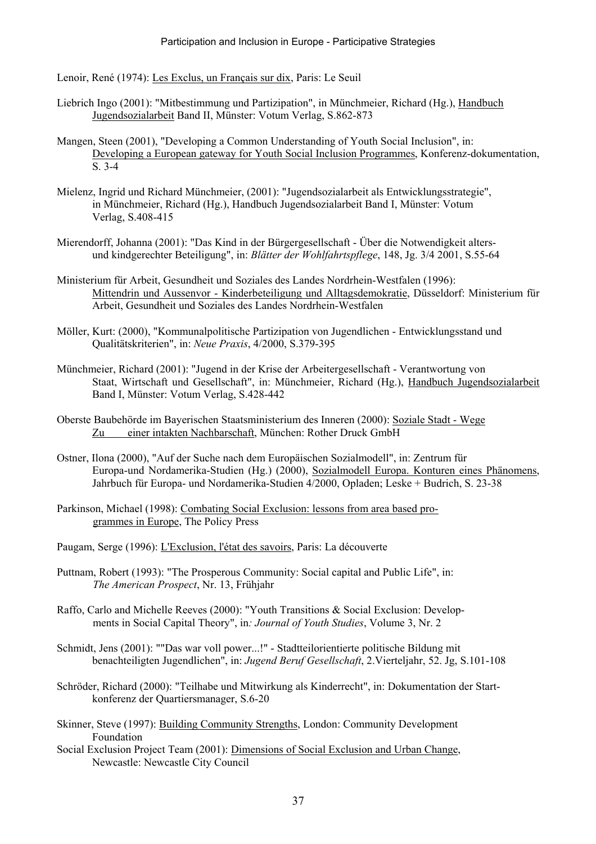Lenoir, René (1974): Les Exclus, un Français sur dix, Paris: Le Seuil

- Liebrich Ingo (2001): "Mitbestimmung und Partizipation", in Münchmeier, Richard (Hg.), Handbuch Jugendsozialarbeit Band II, Münster: Votum Verlag, S.862-873
- Mangen, Steen (2001), "Developing a Common Understanding of Youth Social Inclusion", in: Developing a European gateway for Youth Social Inclusion Programmes, Konferenz-dokumentation, S. 3-4
- Mielenz, Ingrid und Richard Münchmeier, (2001): "Jugendsozialarbeit als Entwicklungsstrategie", in Münchmeier, Richard (Hg.), Handbuch Jugendsozialarbeit Band I, Münster: Votum Verlag, S.408-415
- Mierendorff, Johanna (2001): "Das Kind in der Bürgergesellschaft Über die Notwendigkeit altersund kindgerechter Beteiligung", in: *Blätter der Wohlfahrtspflege*, 148, Jg. 3/4 2001, S.55-64
- Ministerium für Arbeit, Gesundheit und Soziales des Landes Nordrhein-Westfalen (1996): Mittendrin und Aussenvor - Kinderbeteiligung und Alltagsdemokratie, Düsseldorf: Ministerium für Arbeit, Gesundheit und Soziales des Landes Nordrhein-Westfalen
- Möller, Kurt: (2000), "Kommunalpolitische Partizipation von Jugendlichen Entwicklungsstand und Qualitätskriterien", in: *Neue Praxis*, 4/2000, S.379-395
- Münchmeier, Richard (2001): "Jugend in der Krise der Arbeitergesellschaft Verantwortung von Staat, Wirtschaft und Gesellschaft", in: Münchmeier, Richard (Hg.), Handbuch Jugendsozialarbeit Band I, Münster: Votum Verlag, S.428-442
- Oberste Baubehörde im Bayerischen Staatsministerium des Inneren (2000): Soziale Stadt Wege Zu einer intakten Nachbarschaft, München: Rother Druck GmbH
- Ostner, Ilona (2000), "Auf der Suche nach dem Europäischen Sozialmodell", in: Zentrum für Europa-und Nordamerika-Studien (Hg.) (2000), Sozialmodell Europa. Konturen eines Phänomens, Jahrbuch für Europa- und Nordamerika-Studien 4/2000, Opladen; Leske + Budrich, S. 23-38
- Parkinson, Michael (1998): Combating Social Exclusion: lessons from area based programmes in Europe, The Policy Press
- Paugam, Serge (1996): L'Exclusion, l'état des savoirs, Paris: La découverte
- Puttnam, Robert (1993): "The Prosperous Community: Social capital and Public Life", in: *The American Prospect*, Nr. 13, Frühjahr
- Raffo, Carlo and Michelle Reeves (2000): "Youth Transitions & Social Exclusion: Developments in Social Capital Theory", in*: Journal of Youth Studies*, Volume 3, Nr. 2
- Schmidt, Jens (2001): ""Das war voll power...!" Stadtteilorientierte politische Bildung mit benachteiligten Jugendlichen", in: *Jugend Beruf Gesellschaft*, 2.Vierteljahr, 52. Jg, S.101-108
- Schröder, Richard (2000): "Teilhabe und Mitwirkung als Kinderrecht", in: Dokumentation der Startkonferenz der Quartiersmanager, S.6-20
- Skinner, Steve (1997): Building Community Strengths, London: Community Development Foundation
- Social Exclusion Project Team (2001): Dimensions of Social Exclusion and Urban Change, Newcastle: Newcastle City Council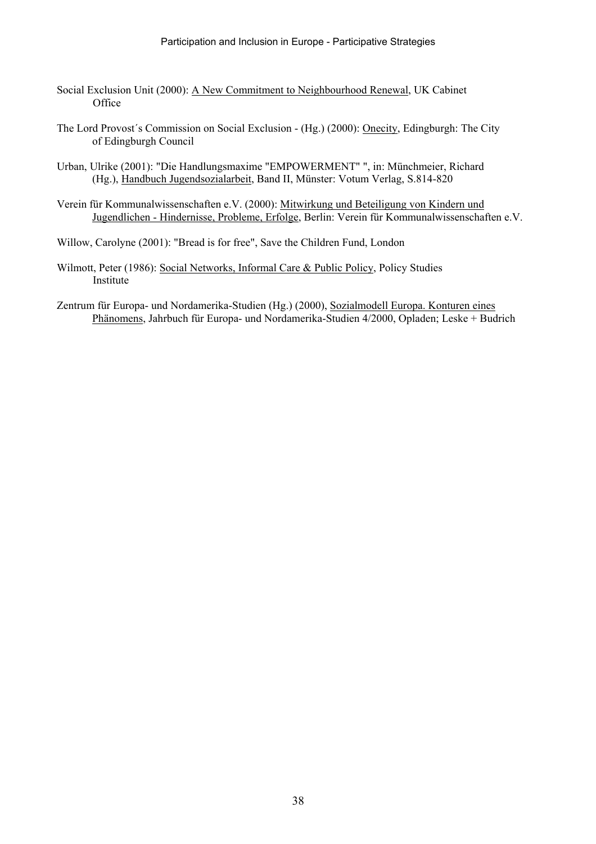- Social Exclusion Unit (2000): A New Commitment to Neighbourhood Renewal, UK Cabinet **Office**
- The Lord Provost´s Commission on Social Exclusion (Hg.) (2000): Onecity, Edingburgh: The City of Edingburgh Council
- Urban, Ulrike (2001): "Die Handlungsmaxime "EMPOWERMENT" ", in: Münchmeier, Richard (Hg.), Handbuch Jugendsozialarbeit, Band II, Münster: Votum Verlag, S.814-820
- Verein für Kommunalwissenschaften e.V. (2000): Mitwirkung und Beteiligung von Kindern und Jugendlichen - Hindernisse, Probleme, Erfolge, Berlin: Verein für Kommunalwissenschaften e.V.
- Willow, Carolyne (2001): "Bread is for free", Save the Children Fund, London
- Wilmott, Peter (1986): Social Networks, Informal Care & Public Policy, Policy Studies Institute
- Zentrum für Europa- und Nordamerika-Studien (Hg.) (2000), Sozialmodell Europa. Konturen eines Phänomens, Jahrbuch für Europa- und Nordamerika-Studien 4/2000, Opladen; Leske + Budrich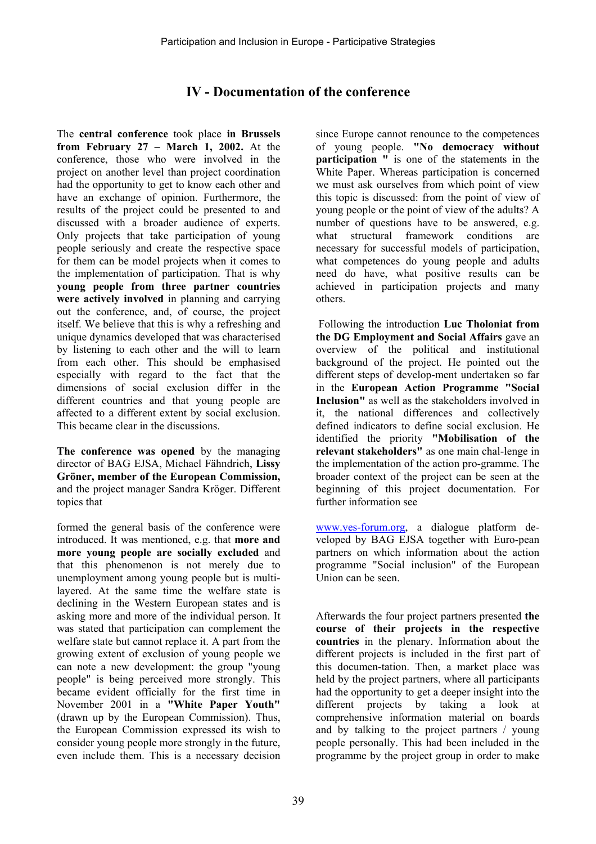# **IV - Documentation of the conference**

The **central conference** took place **in Brussels from February 27 – March 1, 2002.** At the conference, those who were involved in the project on another level than project coordination had the opportunity to get to know each other and have an exchange of opinion. Furthermore, the results of the project could be presented to and discussed with a broader audience of experts. Only projects that take participation of young people seriously and create the respective space for them can be model projects when it comes to the implementation of participation. That is why **young people from three partner countries were actively involved** in planning and carrying out the conference, and, of course, the project itself. We believe that this is why a refreshing and unique dynamics developed that was characterised by listening to each other and the will to learn from each other. This should be emphasised especially with regard to the fact that the dimensions of social exclusion differ in the different countries and that young people are affected to a different extent by social exclusion. This became clear in the discussions.

**The conference was opened** by the managing director of BAG EJSA, Michael Fähndrich, **Lissy Gröner, member of the European Commission,** and the project manager Sandra Kröger. Different topics that

formed the general basis of the conference were introduced. It was mentioned, e.g. that **more and more young people are socially excluded** and that this phenomenon is not merely due to unemployment among young people but is multilayered. At the same time the welfare state is declining in the Western European states and is asking more and more of the individual person. It was stated that participation can complement the welfare state but cannot replace it. A part from the growing extent of exclusion of young people we can note a new development: the group "young people" is being perceived more strongly. This became evident officially for the first time in November 2001 in a **"White Paper Youth"**  (drawn up by the European Commission). Thus, the European Commission expressed its wish to consider young people more strongly in the future, even include them. This is a necessary decision

since Europe cannot renounce to the competences of young people. **"No democracy without participation "** is one of the statements in the White Paper. Whereas participation is concerned we must ask ourselves from which point of view this topic is discussed: from the point of view of young people or the point of view of the adults? A number of questions have to be answered, e.g. what structural framework conditions are necessary for successful models of participation, what competences do young people and adults need do have, what positive results can be achieved in participation projects and many others.

 Following the introduction **Luc Tholoniat from the DG Employment and Social Affairs** gave an overview of the political and institutional background of the project. He pointed out the different steps of develop-ment undertaken so far in the **European Action Programme "Social Inclusion"** as well as the stakeholders involved in it, the national differences and collectively defined indicators to define social exclusion. He identified the priority **"Mobilisation of the relevant stakeholders"** as one main chal-lenge in the implementation of the action pro-gramme. The broader context of the project can be seen at the beginning of this project documentation. For further information see

www.yes-forum.org, a dialogue platform developed by BAG EJSA together with Euro-pean partners on which information about the action programme "Social inclusion" of the European Union can be seen.

Afterwards the four project partners presented **the course of their projects in the respective countries** in the plenary. Information about the different projects is included in the first part of this documen-tation. Then, a market place was held by the project partners, where all participants had the opportunity to get a deeper insight into the different projects by taking a look at comprehensive information material on boards and by talking to the project partners / young people personally. This had been included in the programme by the project group in order to make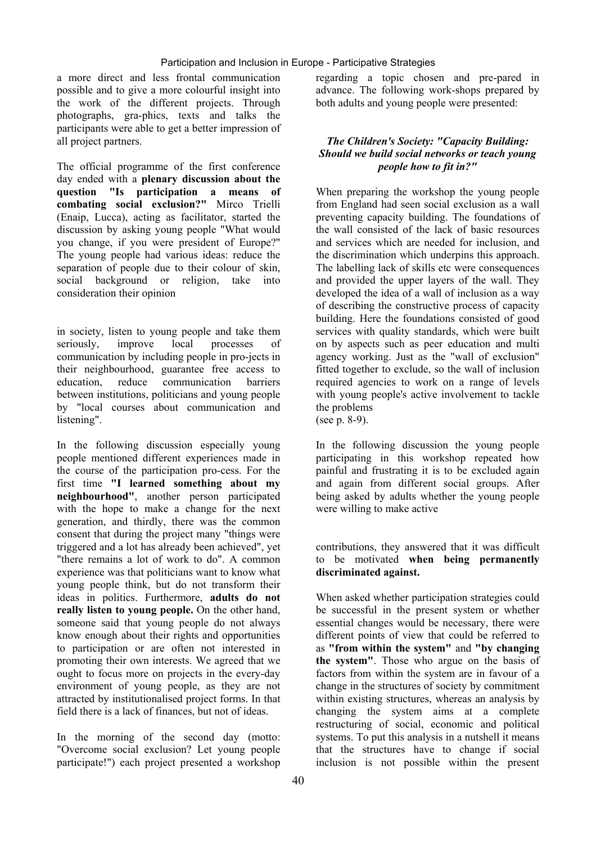#### Participation and Inclusion in Europe - Participative Strategies

a more direct and less frontal communication possible and to give a more colourful insight into the work of the different projects. Through photographs, gra-phics, texts and talks the participants were able to get a better impression of all project partners.

The official programme of the first conference day ended with a **plenary discussion about the question "Is participation a means of combating social exclusion?"** Mirco Trielli (Enaip, Lucca), acting as facilitator, started the discussion by asking young people "What would you change, if you were president of Europe?" The young people had various ideas: reduce the separation of people due to their colour of skin, social background or religion, take into consideration their opinion

in society, listen to young people and take them seriously, improve local processes of communication by including people in pro-jects in their neighbourhood, guarantee free access to education, reduce communication barriers between institutions, politicians and young people by "local courses about communication and listening".

In the following discussion especially young people mentioned different experiences made in the course of the participation pro-cess. For the first time **"I learned something about my neighbourhood"**, another person participated with the hope to make a change for the next generation, and thirdly, there was the common consent that during the project many "things were triggered and a lot has already been achieved", yet "there remains a lot of work to do". A common experience was that politicians want to know what young people think, but do not transform their ideas in politics. Furthermore, **adults do not really listen to young people.** On the other hand, someone said that young people do not always know enough about their rights and opportunities to participation or are often not interested in promoting their own interests. We agreed that we ought to focus more on projects in the every-day environment of young people, as they are not attracted by institutionalised project forms. In that field there is a lack of finances, but not of ideas.

In the morning of the second day (motto: "Overcome social exclusion? Let young people participate!") each project presented a workshop

regarding a topic chosen and pre-pared in advance. The following work-shops prepared by both adults and young people were presented:

#### *The Children's Society: "Capacity Building: Should we build social networks or teach young people how to fit in?"*

When preparing the workshop the young people from England had seen social exclusion as a wall preventing capacity building. The foundations of the wall consisted of the lack of basic resources and services which are needed for inclusion, and the discrimination which underpins this approach. The labelling lack of skills etc were consequences and provided the upper layers of the wall. They developed the idea of a wall of inclusion as a way of describing the constructive process of capacity building. Here the foundations consisted of good services with quality standards, which were built on by aspects such as peer education and multi agency working. Just as the "wall of exclusion" fitted together to exclude, so the wall of inclusion required agencies to work on a range of levels with young people's active involvement to tackle the problems (see p. 8-9).

In the following discussion the young people participating in this workshop repeated how painful and frustrating it is to be excluded again and again from different social groups. After being asked by adults whether the young people were willing to make active

contributions, they answered that it was difficult to be motivated **when being permanently discriminated against.** 

When asked whether participation strategies could be successful in the present system or whether essential changes would be necessary, there were different points of view that could be referred to as **"from within the system"** and **"by changing the system"**. Those who argue on the basis of factors from within the system are in favour of a change in the structures of society by commitment within existing structures, whereas an analysis by changing the system aims at a complete restructuring of social, economic and political systems. To put this analysis in a nutshell it means that the structures have to change if social inclusion is not possible within the present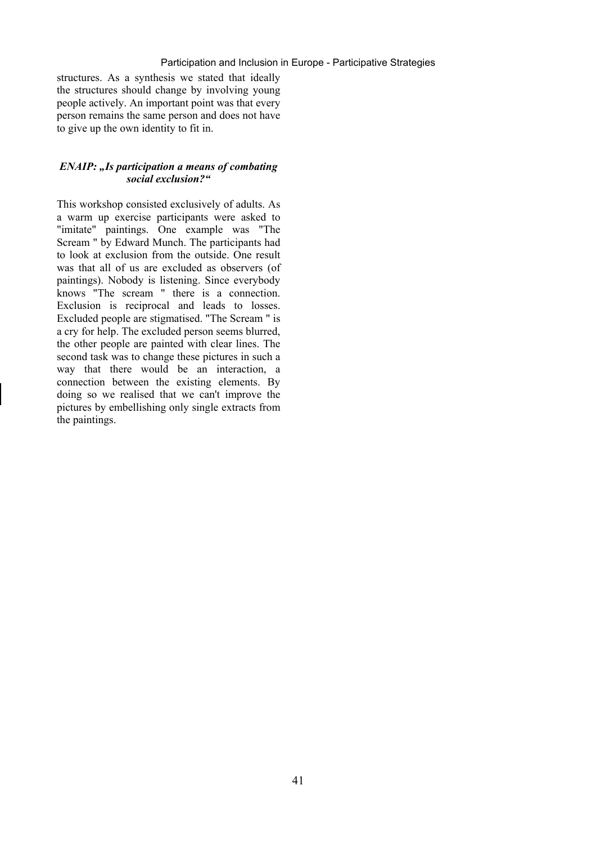#### Participation and Inclusion in Europe - Participative Strategies

structures. As a synthesis we stated that ideally the structures should change by involving young people actively. An important point was that every person remains the same person and does not have to give up the own identity to fit in.

#### *ENAIP:* "*Is participation a means of combating social exclusion?"*

This workshop consisted exclusively of adults. As a warm up exercise participants were asked to "imitate" paintings. One example was "The Scream " by Edward Munch. The participants had to look at exclusion from the outside. One result was that all of us are excluded as observers (of paintings). Nobody is listening. Since everybody knows "The scream " there is a connection. Exclusion is reciprocal and leads to losses. Excluded people are stigmatised. "The Scream " is a cry for help. The excluded person seems blurred, the other people are painted with clear lines. The second task was to change these pictures in such a way that there would be an interaction, a connection between the existing elements. By doing so we realised that we can't improve the pictures by embellishing only single extracts from the paintings.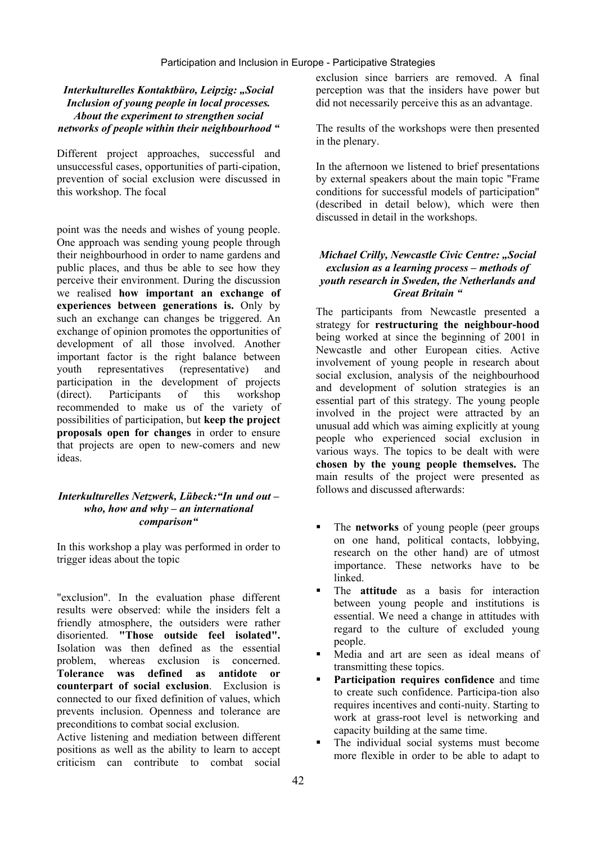#### *Interkulturelles Kontaktbüro, Leipzig: "Social Inclusion of young people in local processes. About the experiment to strengthen social networks of people within their neighbourhood "*

Different project approaches, successful and unsuccessful cases, opportunities of parti-cipation, prevention of social exclusion were discussed in this workshop. The focal

point was the needs and wishes of young people. One approach was sending young people through their neighbourhood in order to name gardens and public places, and thus be able to see how they perceive their environment. During the discussion we realised **how important an exchange of experiences between generations is.** Only by such an exchange can changes be triggered. An exchange of opinion promotes the opportunities of development of all those involved. Another important factor is the right balance between youth representatives (representative) and participation in the development of projects (direct). Participants of this workshop recommended to make us of the variety of possibilities of participation, but **keep the project proposals open for changes** in order to ensure that projects are open to new-comers and new ideas.

#### *Interkulturelles Netzwerk, Lübeck:"In und out – who, how and why – an international comparison"*

In this workshop a play was performed in order to trigger ideas about the topic

"exclusion". In the evaluation phase different results were observed: while the insiders felt a friendly atmosphere, the outsiders were rather disoriented. **"Those outside feel isolated".**  Isolation was then defined as the essential problem, whereas exclusion is concerned. **Tolerance was defined as antidote or counterpart of social exclusion**. Exclusion is connected to our fixed definition of values, which prevents inclusion. Openness and tolerance are preconditions to combat social exclusion.

Active listening and mediation between different positions as well as the ability to learn to accept criticism can contribute to combat social

exclusion since barriers are removed. A final perception was that the insiders have power but did not necessarily perceive this as an advantage.

The results of the workshops were then presented in the plenary.

In the afternoon we listened to brief presentations by external speakers about the main topic "Frame conditions for successful models of participation" (described in detail below), which were then discussed in detail in the workshops.

#### *Michael Crilly, Newcastle Civic Centre: "Social exclusion as a learning process – methods of youth research in Sweden, the Netherlands and Great Britain "*

The participants from Newcastle presented a strategy for **restructuring the neighbour-hood**  being worked at since the beginning of 2001 in Newcastle and other European cities. Active involvement of young people in research about social exclusion, analysis of the neighbourhood and development of solution strategies is an essential part of this strategy. The young people involved in the project were attracted by an unusual add which was aiming explicitly at young people who experienced social exclusion in various ways. The topics to be dealt with were **chosen by the young people themselves.** The main results of the project were presented as follows and discussed afterwards:

- **The networks** of young people (peer groups on one hand, political contacts, lobbying, research on the other hand) are of utmost importance. These networks have to be linked.
- The **attitude** as a basis for interaction between young people and institutions is essential. We need a change in attitudes with regard to the culture of excluded young people.
- Media and art are seen as ideal means of transmitting these topics.
- **Participation requires confidence** and time to create such confidence. Participa-tion also requires incentives and conti-nuity. Starting to work at grass-root level is networking and capacity building at the same time.
- The individual social systems must become more flexible in order to be able to adapt to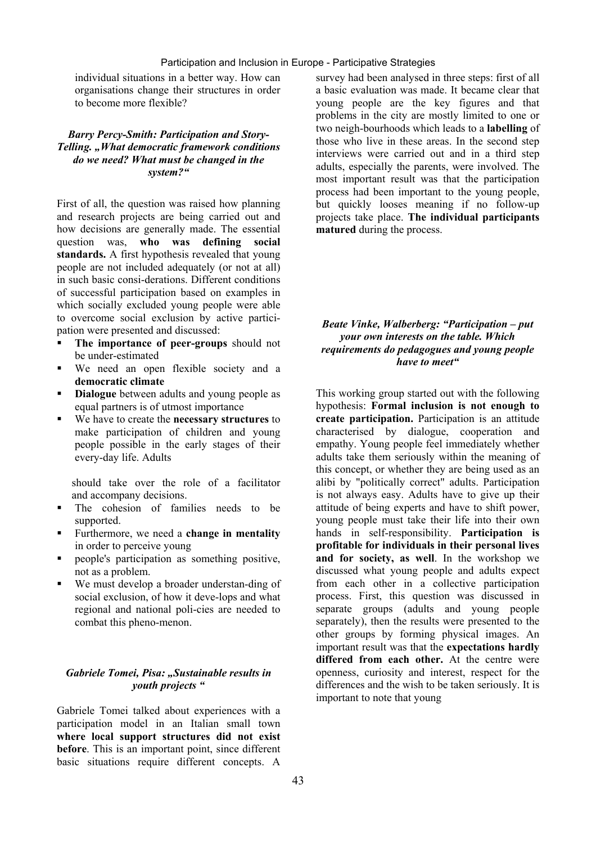individual situations in a better way. How can organisations change their structures in order to become more flexible?

#### *Barry Percy-Smith: Participation and Story-Telling. "What democratic framework conditions do we need? What must be changed in the system?"*

First of all, the question was raised how planning and research projects are being carried out and how decisions are generally made. The essential question was, **who was defining social standards.** A first hypothesis revealed that young people are not included adequately (or not at all) in such basic consi-derations. Different conditions of successful participation based on examples in which socially excluded young people were able to overcome social exclusion by active participation were presented and discussed:

- **The importance of peer-groups** should not be under-estimated
- We need an open flexible society and a **democratic climate**
- **Dialogue** between adults and young people as equal partners is of utmost importance
- We have to create the **necessary structures** to make participation of children and young people possible in the early stages of their every-day life. Adults

should take over the role of a facilitator and accompany decisions.

- The cohesion of families needs to be supported.
- Furthermore, we need a **change in mentality**  in order to perceive young
- people's participation as something positive, not as a problem.
- We must develop a broader understan-ding of social exclusion, of how it deve-lops and what regional and national poli-cies are needed to combat this pheno-menon.

#### *Gabriele Tomei, Pisa: "Sustainable results in youth projects "*

Gabriele Tomei talked about experiences with a participation model in an Italian small town **where local support structures did not exist before**. This is an important point, since different basic situations require different concepts. A

survey had been analysed in three steps: first of all a basic evaluation was made. It became clear that young people are the key figures and that problems in the city are mostly limited to one or two neigh-bourhoods which leads to a **labelling** of those who live in these areas. In the second step interviews were carried out and in a third step adults, especially the parents, were involved. The most important result was that the participation process had been important to the young people, but quickly looses meaning if no follow-up projects take place. **The individual participants matured** during the process.

#### *Beate Vinke, Walberberg: "Participation – put your own interests on the table. Which requirements do pedagogues and young people have to meet"*

This working group started out with the following hypothesis: **Formal inclusion is not enough to create participation.** Participation is an attitude characterised by dialogue, cooperation and empathy. Young people feel immediately whether adults take them seriously within the meaning of this concept, or whether they are being used as an alibi by "politically correct" adults. Participation is not always easy. Adults have to give up their attitude of being experts and have to shift power, young people must take their life into their own hands in self-responsibility. **Participation is profitable for individuals in their personal lives and for society, as well**. In the workshop we discussed what young people and adults expect from each other in a collective participation process. First, this question was discussed in separate groups (adults and young people separately), then the results were presented to the other groups by forming physical images. An important result was that the **expectations hardly differed from each other.** At the centre were openness, curiosity and interest, respect for the differences and the wish to be taken seriously. It is important to note that young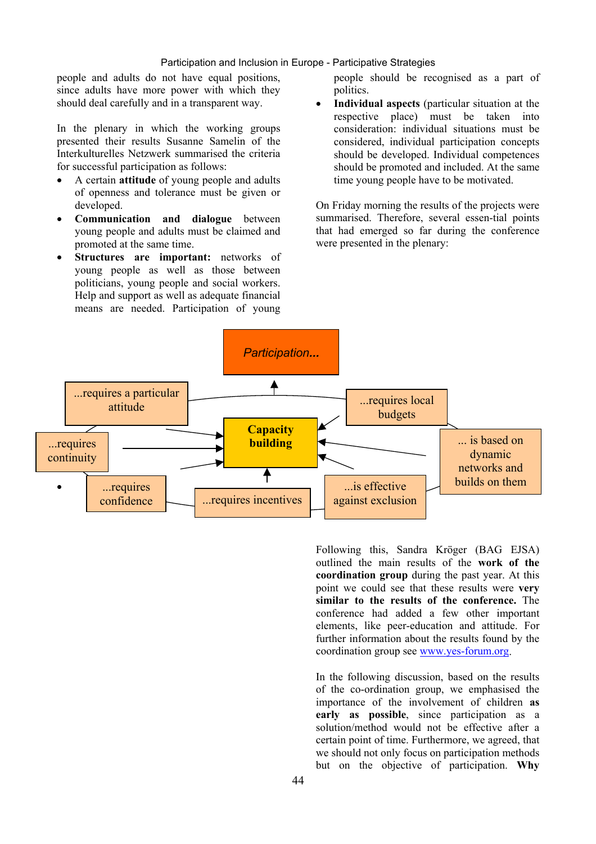#### Participation and Inclusion in Europe - Participative Strategies

people and adults do not have equal positions, since adults have more power with which they should deal carefully and in a transparent way.

In the plenary in which the working groups presented their results Susanne Samelin of the Interkulturelles Netzwerk summarised the criteria for successful participation as follows:

- A certain **attitude** of young people and adults of openness and tolerance must be given or developed.
- **Communication and dialogue** between young people and adults must be claimed and promoted at the same time.
- **Structures are important:** networks of young people as well as those between politicians, young people and social workers. Help and support as well as adequate financial means are needed. Participation of young

people should be recognised as a part of politics.

• **Individual aspects** (particular situation at the respective place) must be taken into consideration: individual situations must be considered, individual participation concepts should be developed. Individual competences should be promoted and included. At the same time young people have to be motivated.

On Friday morning the results of the projects were summarised. Therefore, several essen-tial points that had emerged so far during the conference were presented in the plenary:



Following this, Sandra Kröger (BAG EJSA) outlined the main results of the **work of the coordination group** during the past year. At this point we could see that these results were **very similar to the results of the conference.** The conference had added a few other important elements, like peer-education and attitude. For further information about the results found by the coordination group see www.yes-forum.org.

In the following discussion, based on the results of the co-ordination group, we emphasised the importance of the involvement of children **as early as possible**, since participation as a solution/method would not be effective after a certain point of time. Furthermore, we agreed, that we should not only focus on participation methods but on the objective of participation. **Why**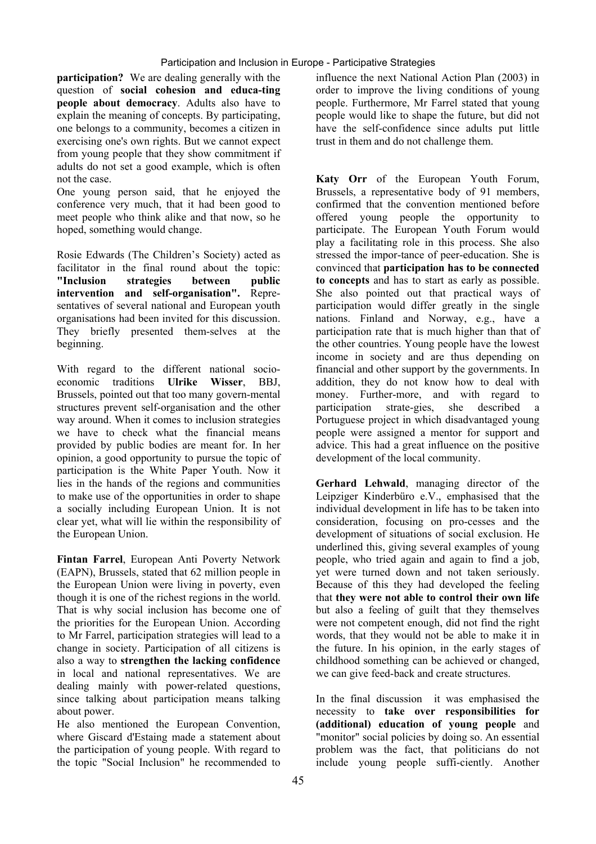**participation?** We are dealing generally with the question of **social cohesion and educa-ting people about democracy**. Adults also have to explain the meaning of concepts. By participating, one belongs to a community, becomes a citizen in exercising one's own rights. But we cannot expect from young people that they show commitment if adults do not set a good example, which is often not the case.

One young person said, that he enjoyed the conference very much, that it had been good to meet people who think alike and that now, so he hoped, something would change.

Rosie Edwards (The Children's Society) acted as facilitator in the final round about the topic: **"Inclusion strategies between public intervention and self-organisation".** Representatives of several national and European youth organisations had been invited for this discussion. They briefly presented them-selves at the beginning.

With regard to the different national socioeconomic traditions **Ulrike Wisser**, BBJ, Brussels, pointed out that too many govern-mental structures prevent self-organisation and the other way around. When it comes to inclusion strategies we have to check what the financial means provided by public bodies are meant for. In her opinion, a good opportunity to pursue the topic of participation is the White Paper Youth. Now it lies in the hands of the regions and communities to make use of the opportunities in order to shape a socially including European Union. It is not clear yet, what will lie within the responsibility of the European Union.

**Fintan Farrel**, European Anti Poverty Network (EAPN), Brussels, stated that 62 million people in the European Union were living in poverty, even though it is one of the richest regions in the world. That is why social inclusion has become one of the priorities for the European Union. According to Mr Farrel, participation strategies will lead to a change in society. Participation of all citizens is also a way to **strengthen the lacking confidence**  in local and national representatives. We are dealing mainly with power-related questions. since talking about participation means talking about power.

He also mentioned the European Convention, where Giscard d'Estaing made a statement about the participation of young people. With regard to the topic "Social Inclusion" he recommended to

influence the next National Action Plan (2003) in order to improve the living conditions of young people. Furthermore, Mr Farrel stated that young people would like to shape the future, but did not have the self-confidence since adults put little trust in them and do not challenge them.

**Katy Orr** of the European Youth Forum, Brussels, a representative body of 91 members, confirmed that the convention mentioned before offered young people the opportunity to participate. The European Youth Forum would play a facilitating role in this process. She also stressed the impor-tance of peer-education. She is convinced that **participation has to be connected to concepts** and has to start as early as possible. She also pointed out that practical ways of participation would differ greatly in the single nations. Finland and Norway, e.g., have a participation rate that is much higher than that of the other countries. Young people have the lowest income in society and are thus depending on financial and other support by the governments. In addition, they do not know how to deal with money. Further-more, and with regard to participation strate-gies, she described a Portuguese project in which disadvantaged young people were assigned a mentor for support and advice. This had a great influence on the positive development of the local community.

**Gerhard Lehwald**, managing director of the Leipziger Kinderbüro e.V., emphasised that the individual development in life has to be taken into consideration, focusing on pro-cesses and the development of situations of social exclusion. He underlined this, giving several examples of young people, who tried again and again to find a job, yet were turned down and not taken seriously. Because of this they had developed the feeling that **they were not able to control their own life**  but also a feeling of guilt that they themselves were not competent enough, did not find the right words, that they would not be able to make it in the future. In his opinion, in the early stages of childhood something can be achieved or changed, we can give feed-back and create structures.

In the final discussion it was emphasised the necessity to **take over responsibilities for (additional) education of young people** and "monitor" social policies by doing so. An essential problem was the fact, that politicians do not include young people suffi-ciently. Another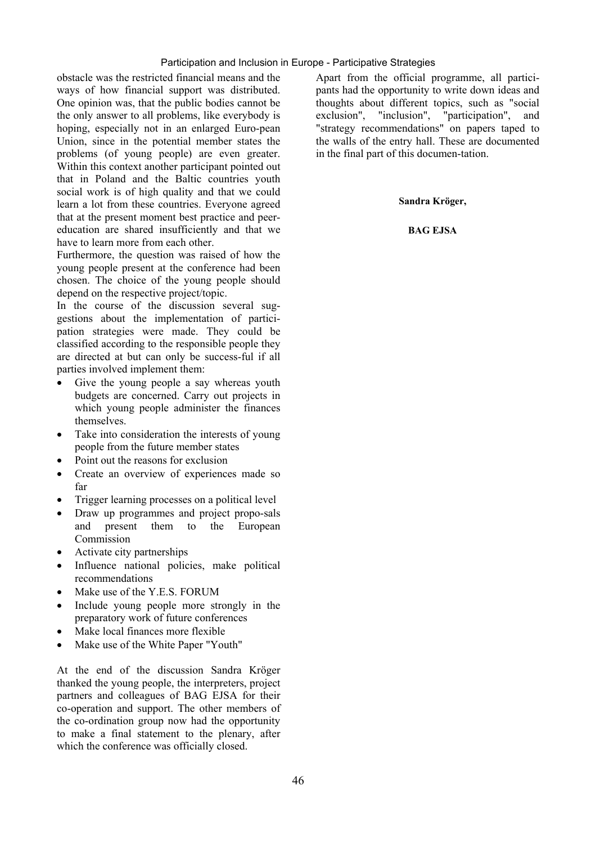#### Participation and Inclusion in Europe - Participative Strategies

obstacle was the restricted financial means and the ways of how financial support was distributed. One opinion was, that the public bodies cannot be the only answer to all problems, like everybody is hoping, especially not in an enlarged Euro-pean Union, since in the potential member states the problems (of young people) are even greater. Within this context another participant pointed out that in Poland and the Baltic countries youth social work is of high quality and that we could learn a lot from these countries. Everyone agreed that at the present moment best practice and peereducation are shared insufficiently and that we have to learn more from each other.

Furthermore, the question was raised of how the young people present at the conference had been chosen. The choice of the young people should depend on the respective project/topic.

In the course of the discussion several suggestions about the implementation of participation strategies were made. They could be classified according to the responsible people they are directed at but can only be success-ful if all parties involved implement them:

- Give the young people a say whereas youth budgets are concerned. Carry out projects in which young people administer the finances themselves.
- Take into consideration the interests of young people from the future member states
- Point out the reasons for exclusion
- Create an overview of experiences made so far
- Trigger learning processes on a political level
- Draw up programmes and project propo-sals and present them to the European Commission
- Activate city partnerships
- Influence national policies, make political recommendations
- Make use of the Y.E.S. FORUM
- Include young people more strongly in the preparatory work of future conferences
- Make local finances more flexible
- Make use of the White Paper "Youth"

At the end of the discussion Sandra Kröger thanked the young people, the interpreters, project partners and colleagues of BAG EJSA for their co-operation and support. The other members of the co-ordination group now had the opportunity to make a final statement to the plenary, after which the conference was officially closed.

Apart from the official programme, all participants had the opportunity to write down ideas and thoughts about different topics, such as "social exclusion", "inclusion", "participation", and "strategy recommendations" on papers taped to the walls of the entry hall. These are documented in the final part of this documen-tation.

#### **Sandra Kröger,**

#### **BAG EJSA**